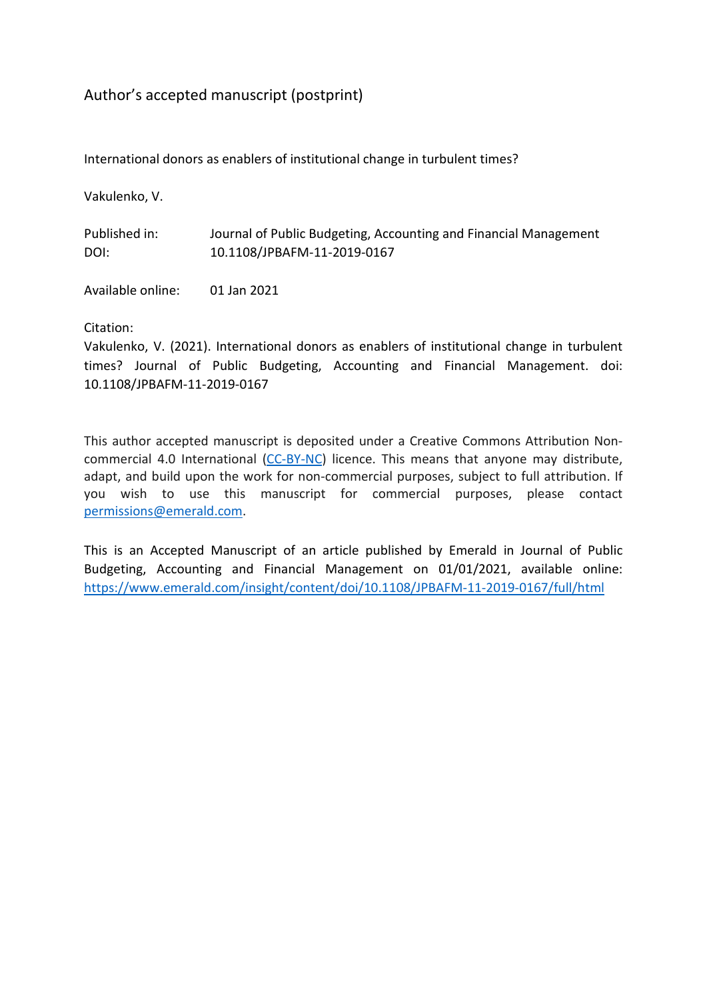# Author's accepted manuscript (postprint)

International donors as enablers of institutional change in turbulent times?

Vakulenko, V.

Published in: Journal of Public Budgeting, Accounting and Financial Management DOI: 10.1108/JPBAFM-11-2019-0167

Available online: 01 Jan 2021

Citation:

Vakulenko, V. (2021). International donors as enablers of institutional change in turbulent times? Journal of Public Budgeting, Accounting and Financial Management. doi: 10.1108/JPBAFM-11-2019-0167

This author accepted manuscript is deposited under a Creative Commons Attribution Noncommercial 4.0 International [\(CC-BY-NC\)](http://creativecommons.org/licenses/by-nc/4.0) licence. This means that anyone may distribute, adapt, and build upon the work for non-commercial purposes, subject to full attribution. If you wish to use this manuscript for commercial purposes, please contact [permissions@emerald.com.](mailto:permissions@emerald.com)

This is an Accepted Manuscript of an article published by Emerald in Journal of Public Budgeting, Accounting and Financial Management on 01/01/2021, available online: <https://www.emerald.com/insight/content/doi/10.1108/JPBAFM-11-2019-0167/full/html>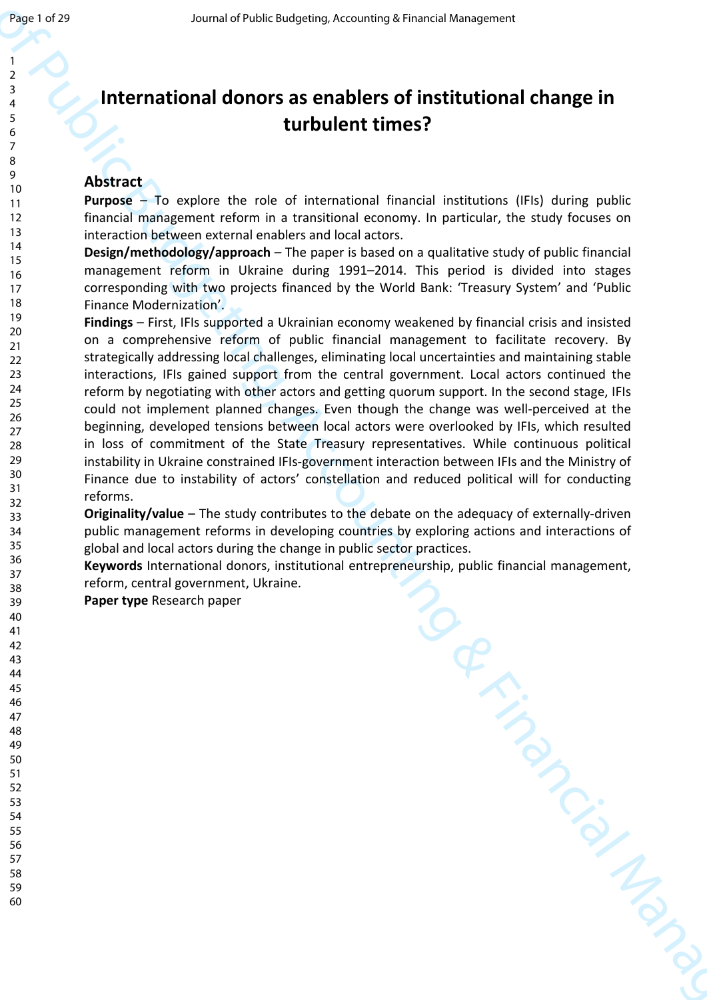# **International donors as enablers of institutional change in turbulent times?**

# **Abstract**

**Purpose** – To explore the role of international financial institutions (IFIs) during public financial management reform in a transitional economy. In particular, the study focuses on interaction between external enablers and local actors.

**Design/methodology/approach** – The paper is based on a qualitative study of public financial management reform in Ukraine during 1991–2014. This period is divided into stages corresponding with two projects financed by the World Bank: 'Treasury System' and 'Public Finance Modernization'.

 $\frac{3}{2}$ <br>  $\frac{3}{2}$ <br>  $\frac{3}{2}$ <br>  $\frac{3}{2}$ <br> **Journal of Public Budgeting, Accounting Manuscript European Comparison<br>**  $\frac{3}{2}$ **<br>
Abstract to equive the color of international financial installations (Fig) during additional Findings** – First, IFIs supported a Ukrainian economy weakened by financial crisis and insisted on a comprehensive reform of public financial management to facilitate recovery. By strategically addressing local challenges, eliminating local uncertainties and maintaining stable interactions, IFIs gained support from the central government. Local actors continued the reform by negotiating with other actors and getting quorum support. In the second stage, IFIs could not implement planned changes. Even though the change was well-perceived at the beginning, developed tensions between local actors were overlooked by IFIs, which resulted in loss of commitment of the State Treasury representatives. While continuous political instability in Ukraine constrained IFIs-government interaction between IFIs and the Ministry of Finance due to instability of actors' constellation and reduced political will for conducting reforms.

**Originality/value** – The study contributes to the debate on the adequacy of externally-driven public management reforms in developing countries by exploring actions and interactions of global and local actors during the change in public sector practices.

**Keywords** International donors, institutional entrepreneurship, public financial management, reform, central government, Ukraine.

**Paper type** Research paper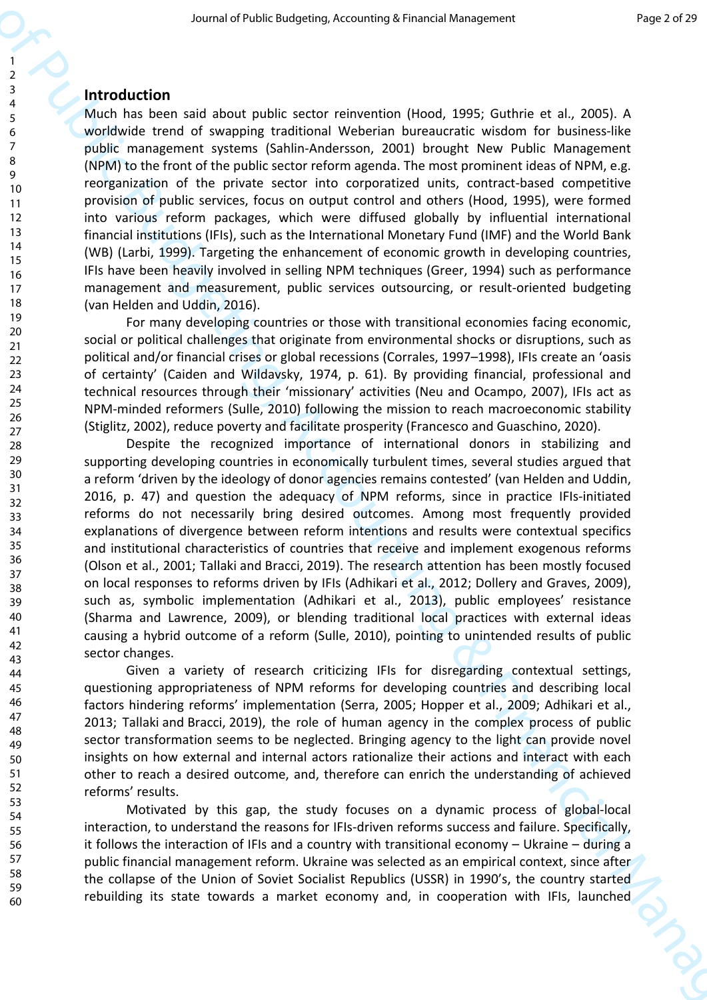## **Introduction**

Much has been said about public sector reinvention (Hood, 1995; Guthrie et al., 2005). A worldwide trend of swapping traditional Weberian bureaucratic wisdom for business-like public management systems (Sahlin-Andersson, 2001) brought New Public Management (NPM) to the front of the public sector reform agenda. The most prominent ideas of NPM, e.g. reorganization of the private sector into corporatized units, contract-based competitive provision of public services, focus on output control and others (Hood, 1995), were formed into various reform packages, which were diffused globally by influential international financial institutions (IFIs), such as the International Monetary Fund (IMF) and the World Bank (WB) (Larbi, 1999). Targeting the enhancement of economic growth in developing countries, IFIs have been heavily involved in selling NPM techniques (Greer, 1994) such as performance management and measurement, public services outsourcing, or result-oriented budgeting (van Helden and Uddin, 2016).

For many developing countries or those with transitional economies facing economic, social or political challenges that originate from environmental shocks or disruptions, such as political and/or financial crises or global recessions (Corrales, 1997–1998), IFIs create an 'oasis of certainty' (Caiden and Wildavsky, 1974, p. 61). By providing financial, professional and technical resources through their 'missionary' activities (Neu and Ocampo, 2007), IFIs act as NPM-minded reformers (Sulle, 2010) following the mission to reach macroeconomic stability (Stiglitz, 2002), reduce poverty and facilitate prosperity (Francesco and Guaschino, 2020).

Second of Public Budgeting, Accounting to Financial Virgins) is a second of Public Budgeting, Accounting the Hamiltonial Management (Accounting the Hamiltonial Management Control Management Control Management Control Mana Despite the recognized importance of international donors in stabilizing and supporting developing countries in economically turbulent times, several studies argued that a reform 'driven by the ideology of donor agencies remains contested' (van Helden and Uddin, 2016, p. 47) and question the adequacy of NPM reforms, since in practice IFIs-initiated reforms do not necessarily bring desired outcomes. Among most frequently provided explanations of divergence between reform intentions and results were contextual specifics and institutional characteristics of countries that receive and implement exogenous reforms (Olson et al., 2001; Tallaki and Bracci, 2019). The research attention has been mostly focused on local responses to reforms driven by IFIs (Adhikari et al., 2012; Dollery and Graves, 2009), such as, symbolic implementation (Adhikari et al., 2013), public employees' resistance (Sharma and Lawrence, 2009), or blending traditional local practices with external ideas causing a hybrid outcome of a reform (Sulle, 2010), pointing to unintended results of public sector changes.

Given a variety of research criticizing IFIs for disregarding contextual settings, questioning appropriateness of NPM reforms for developing countries and describing local factors hindering reforms' implementation (Serra, 2005; Hopper et al., 2009; Adhikari et al., 2013; Tallaki and Bracci, 2019), the role of human agency in the complex process of public sector transformation seems to be neglected. Bringing agency to the light can provide novel insights on how external and internal actors rationalize their actions and interact with each other to reach a desired outcome, and, therefore can enrich the understanding of achieved reforms' results.

Motivated by this gap, the study focuses on a dynamic process of global-local interaction, to understand the reasons for IFIs-driven reforms success and failure. Specifically, it follows the interaction of IFIs and a country with transitional economy – Ukraine – during a public financial management reform. Ukraine was selected as an empirical context, since after the collapse of the Union of Soviet Socialist Republics (USSR) in 1990's, the country started rebuilding its state towards a market economy and, in cooperation with IFIs, launched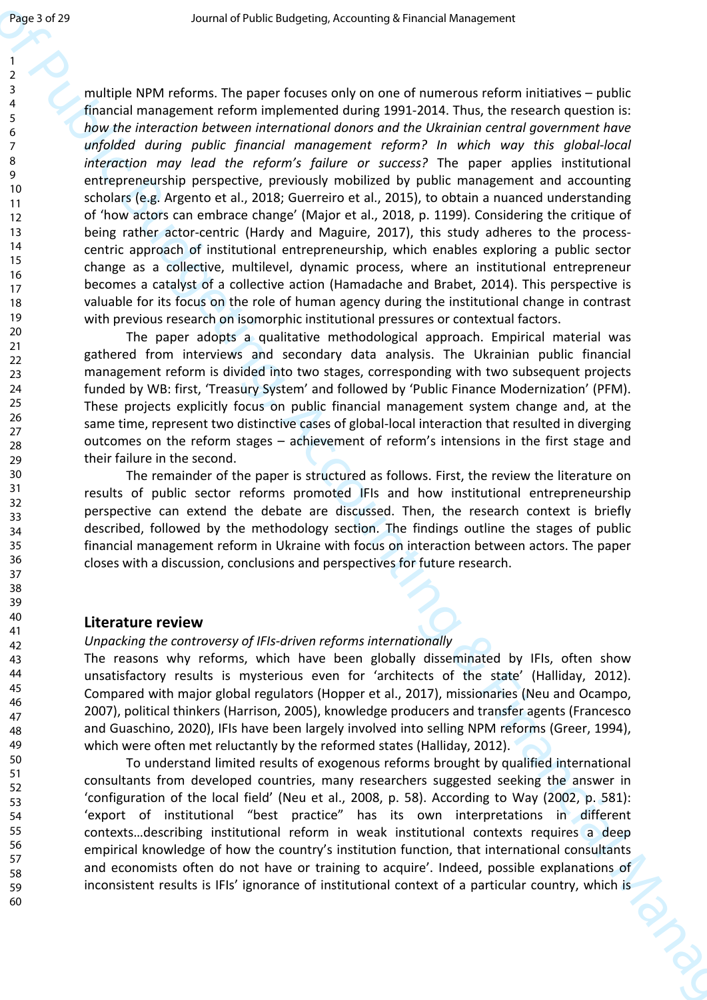**Figs.** 37 and<br>  $\frac{1}{2}$  control of the Christian Control of the Christian Control of the Christian Control of Christian Control of Christian Control of Christian Control of Christian Control of Christian Control of Chri multiple NPM reforms. The paper focuses only on one of numerous reform initiatives – public financial management reform implemented during 1991-2014. Thus, the research question is: *how the interaction between international donors and the Ukrainian central government have unfolded during public financial management reform? In which way this global-local interaction may lead the reform's failure or success?* The paper applies institutional entrepreneurship perspective, previously mobilized by public management and accounting scholars (e.g. Argento et al., 2018; Guerreiro et al., 2015), to obtain a nuanced understanding of 'how actors can embrace change' (Major et al., 2018, p. 1199). Considering the critique of being rather actor-centric (Hardy and Maguire, 2017), this study adheres to the processcentric approach of institutional entrepreneurship, which enables exploring a public sector change as a collective, multilevel, dynamic process, where an institutional entrepreneur becomes a catalyst of a collective action (Hamadache and Brabet, 2014). This perspective is valuable for its focus on the role of human agency during the institutional change in contrast with previous research on isomorphic institutional pressures or contextual factors.

The paper adopts a qualitative methodological approach. Empirical material was gathered from interviews and secondary data analysis. The Ukrainian public financial management reform is divided into two stages, corresponding with two subsequent projects funded by WB: first, 'Treasury System' and followed by 'Public Finance Modernization' (PFM). These projects explicitly focus on public financial management system change and, at the same time, represent two distinctive cases of global-local interaction that resulted in diverging outcomes on the reform stages – achievement of reform's intensions in the first stage and their failure in the second.

The remainder of the paper is structured as follows. First, the review the literature on results of public sector reforms promoted IFIs and how institutional entrepreneurship perspective can extend the debate are discussed. Then, the research context is briefly described, followed by the methodology section. The findings outline the stages of public financial management reform in Ukraine with focus on interaction between actors. The paper closes with a discussion, conclusions and perspectives for future research.

#### **Literature review**

#### *Unpacking the controversy of IFIs-driven reforms internationally*

The reasons why reforms, which have been globally disseminated by IFIs, often show unsatisfactory results is mysterious even for 'architects of the state' (Halliday, 2012). Compared with major global regulators (Hopper et al., 2017), missionaries (Neu and Ocampo, 2007), political thinkers (Harrison, 2005), knowledge producers and transfer agents (Francesco and Guaschino, 2020), IFIs have been largely involved into selling NPM reforms (Greer, 1994), which were often met reluctantly by the reformed states (Halliday, 2012).

To understand limited results of exogenous reforms brought by qualified international consultants from developed countries, many researchers suggested seeking the answer in 'configuration of the local field' (Neu et al., 2008, p. 58). According to Way (2002, p. 581): 'export of institutional "best practice" has its own interpretations in different contexts…describing institutional reform in weak institutional contexts requires a deep empirical knowledge of how the country's institution function, that international consultants and economists often do not have or training to acquire'. Indeed, possible explanations of inconsistent results is IFIs' ignorance of institutional context of a particular country, which is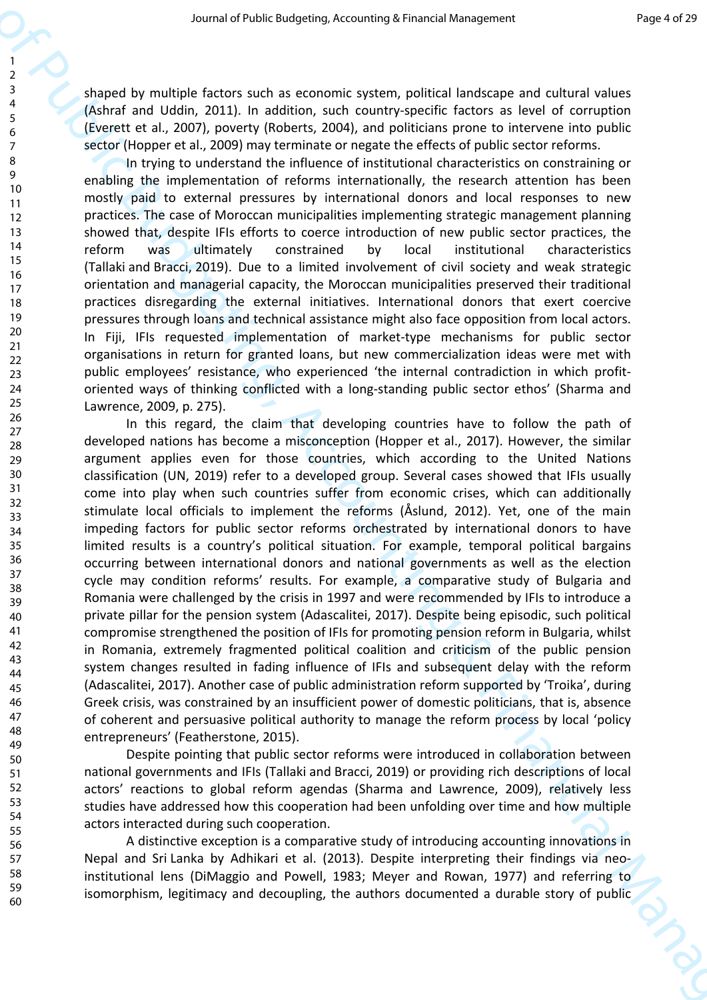shaped by multiple factors such as economic system, political landscape and cultural values (Ashraf and Uddin, 2011). In addition, such country-specific factors as level of corruption (Everett et al., 2007), poverty (Roberts, 2004), and politicians prone to intervene into public sector (Hopper et al., 2009) may terminate or negate the effects of public sector reforms.

In trying to understand the influence of institutional characteristics on constraining or enabling the implementation of reforms internationally, the research attention has been mostly paid to external pressures by international donors and local responses to new practices. The case of Moroccan municipalities implementing strategic management planning showed that, despite IFIs efforts to coerce introduction of new public sector practices, the reform was ultimately constrained by local institutional characteristics (Tallaki and Bracci, 2019). Due to a limited involvement of civil society and weak strategic orientation and managerial capacity, the Moroccan municipalities preserved their traditional practices disregarding the external initiatives. International donors that exert coercive pressures through loans and technical assistance might also face opposition from local actors. In Fiji, IFIs requested implementation of market-type mechanisms for public sector organisations in return for granted loans, but new commercialization ideas were met with public employees' resistance, who experienced 'the internal contradiction in which profitoriented ways of thinking conflicted with a long-standing public sector ethos' (Sharma and Lawrence, 2009, p. 275).

Second of their three particles is not the three interests are not the public Budgeting of the second of the public Budgeting and the public Budgeting of the Control of the Control of the Control of the Control of the Con In this regard, the claim that developing countries have to follow the path of developed nations has become a misconception (Hopper et al., 2017). However, the similar argument applies even for those countries, which according to the United Nations classification (UN, 2019) refer to a developed group. Several cases showed that IFIs usually come into play when such countries suffer from economic crises, which can additionally stimulate local officials to implement the reforms (Åslund, 2012). Yet, one of the main impeding factors for public sector reforms orchestrated by international donors to have limited results is a country's political situation. For example, temporal political bargains occurring between international donors and national governments as well as the election cycle may condition reforms' results. For example, a comparative study of Bulgaria and Romania were challenged by the crisis in 1997 and were recommended by IFIs to introduce a private pillar for the pension system (Adascalitei, 2017). Despite being episodic, such political compromise strengthened the position of IFIs for promoting pension reform in Bulgaria, whilst in Romania, extremely fragmented political coalition and criticism of the public pension system changes resulted in fading influence of IFIs and subsequent delay with the reform (Adascalitei, 2017). Another case of public administration reform supported by 'Troika', during Greek crisis, was constrained by an insufficient power of domestic politicians, that is, absence of coherent and persuasive political authority to manage the reform process by local 'policy entrepreneurs' (Featherstone, 2015).

Despite pointing that public sector reforms were introduced in collaboration between national governments and IFIs (Tallaki and Bracci, 2019) or providing rich descriptions of local actors' reactions to global reform agendas (Sharma and Lawrence, 2009), relatively less studies have addressed how this cooperation had been unfolding over time and how multiple actors interacted during such cooperation.

A distinctive exception is a comparative study of introducing accounting innovations in Nepal and Sri Lanka by Adhikari et al. (2013). Despite interpreting their findings via neoinstitutional lens (DiMaggio and Powell, 1983; Meyer and Rowan, 1977) and referring to isomorphism, legitimacy and decoupling, the authors documented a durable story of public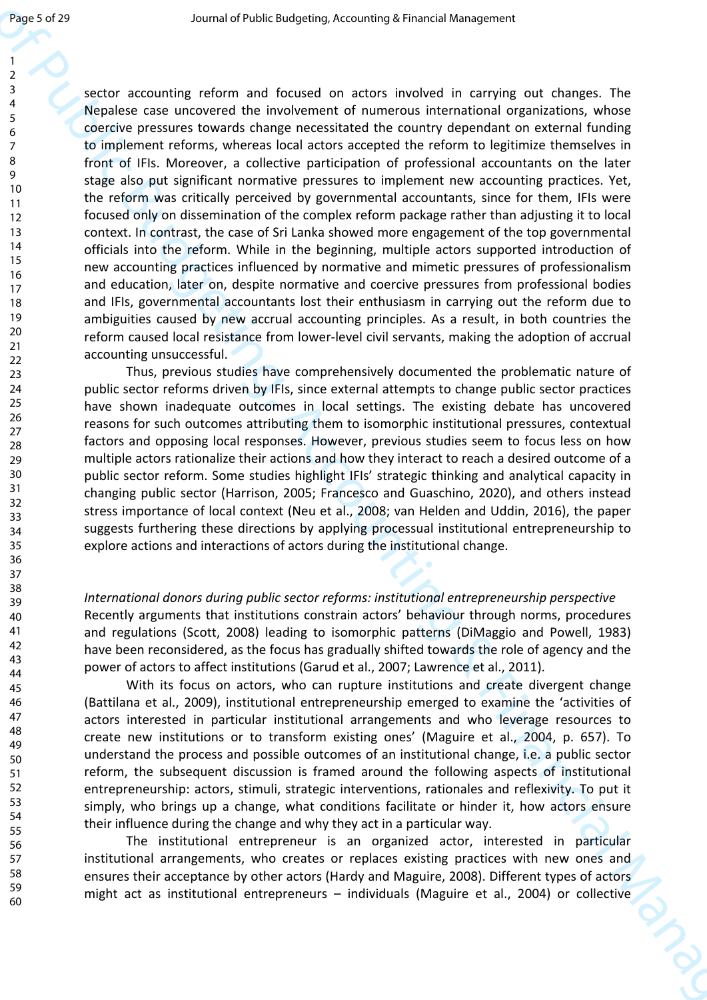**Figs.** 378<br>  $\frac{1}{2}$ <br>  $\frac{1}{2}$ <br>  $\frac{1}{2}$ <br>  $\frac{1}{2}$ <br>  $\frac{1}{2}$ <br>  $\frac{1}{2}$ <br>  $\frac{1}{2}$ <br>  $\frac{1}{2}$ <br>  $\frac{1}{2}$ <br>  $\frac{1}{2}$ <br>  $\frac{1}{2}$ <br>  $\frac{1}{2}$ <br>  $\frac{1}{2}$ <br>  $\frac{1}{2}$ <br>  $\frac{1}{2}$ <br>  $\frac{1}{2}$ <br>  $\frac{1}{2}$ <br>  $\frac{1}{2}$ <br>  $\frac{1}{2}$ <br> sector accounting reform and focused on actors involved in carrying out changes. The Nepalese case uncovered the involvement of numerous international organizations, whose coercive pressures towards change necessitated the country dependant on external funding to implement reforms, whereas local actors accepted the reform to legitimize themselves in front of IFIs. Moreover, a collective participation of professional accountants on the later stage also put significant normative pressures to implement new accounting practices. Yet, the reform was critically perceived by governmental accountants, since for them, IFIs were focused only on dissemination of the complex reform package rather than adjusting it to local context. In contrast, the case of Sri Lanka showed more engagement of the top governmental officials into the reform. While in the beginning, multiple actors supported introduction of new accounting practices influenced by normative and mimetic pressures of professionalism and education, later on, despite normative and coercive pressures from professional bodies and IFIs, governmental accountants lost their enthusiasm in carrying out the reform due to ambiguities caused by new accrual accounting principles. As a result, in both countries the reform caused local resistance from lower-level civil servants, making the adoption of accrual accounting unsuccessful.

Thus, previous studies have comprehensively documented the problematic nature of public sector reforms driven by IFIs, since external attempts to change public sector practices have shown inadequate outcomes in local settings. The existing debate has uncovered reasons for such outcomes attributing them to isomorphic institutional pressures, contextual factors and opposing local responses. However, previous studies seem to focus less on how multiple actors rationalize their actions and how they interact to reach a desired outcome of a public sector reform. Some studies highlight IFIs' strategic thinking and analytical capacity in changing public sector (Harrison, 2005; Francesco and Guaschino, 2020), and others instead stress importance of local context (Neu et al., 2008; van Helden and Uddin, 2016), the paper suggests furthering these directions by applying processual institutional entrepreneurship to explore actions and interactions of actors during the institutional change.

*International donors during public sector reforms: institutional entrepreneurship perspective*  Recently arguments that institutions constrain actors' behaviour through norms, procedures and regulations (Scott, 2008) leading to isomorphic patterns (DiMaggio and Powell, 1983) have been reconsidered, as the focus has gradually shifted towards the role of agency and the power of actors to affect institutions (Garud et al., 2007; Lawrence et al., 2011).

With its focus on actors, who can rupture institutions and create divergent change (Battilana et al., 2009), institutional entrepreneurship emerged to examine the 'activities of actors interested in particular institutional arrangements and who leverage resources to create new institutions or to transform existing ones' (Maguire et al., 2004, p. 657). To understand the process and possible outcomes of an institutional change, i.e. a public sector reform, the subsequent discussion is framed around the following aspects of institutional entrepreneurship: actors, stimuli, strategic interventions, rationales and reflexivity. To put it simply, who brings up a change, what conditions facilitate or hinder it, how actors ensure their influence during the change and why they act in a particular way.

The institutional entrepreneur is an organized actor, interested in particular institutional arrangements, who creates or replaces existing practices with new ones and ensures their acceptance by other actors (Hardy and Maguire, 2008). Different types of actors might act as institutional entrepreneurs – individuals (Maguire et al., 2004) or collective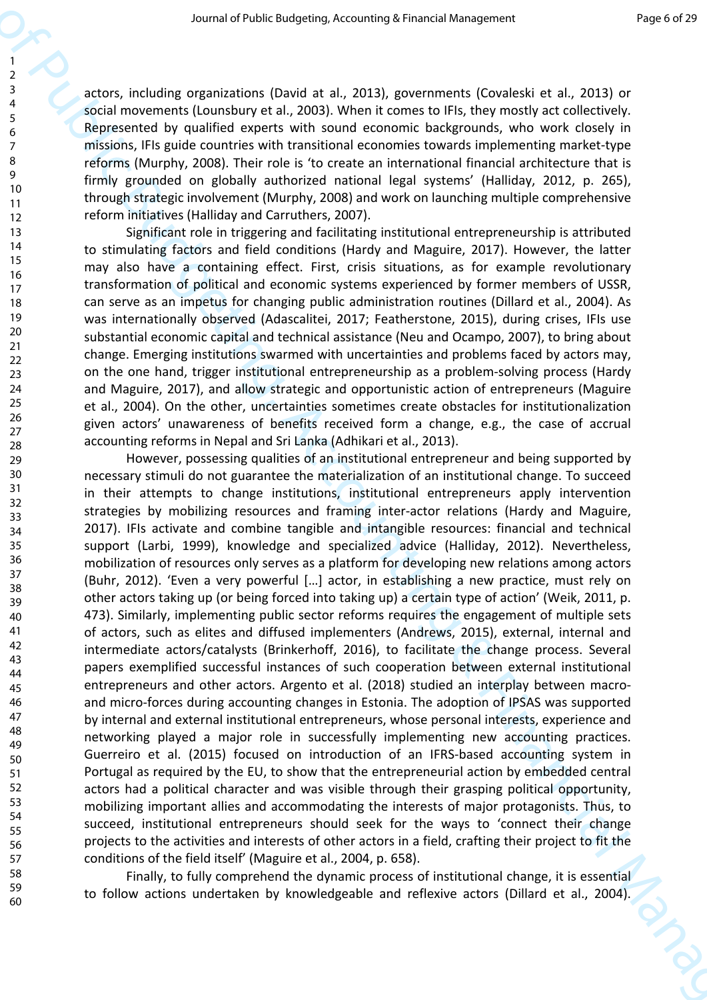actors, including organizations (David at al., 2013), governments (Covaleski et al., 2013) or social movements (Lounsbury et al., 2003). When it comes to IFIs, they mostly act collectively. Represented by qualified experts with sound economic backgrounds, who work closely in missions, IFIs guide countries with transitional economies towards implementing market-type reforms (Murphy, 2008). Their role is 'to create an international financial architecture that is firmly grounded on globally authorized national legal systems' (Halliday, 2012, p. 265), through strategic involvement (Murphy, 2008) and work on launching multiple comprehensive reform initiatives (Halliday and Carruthers, 2007).

Significant role in triggering and facilitating institutional entrepreneurship is attributed to stimulating factors and field conditions (Hardy and Maguire, 2017). However, the latter may also have a containing effect. First, crisis situations, as for example revolutionary transformation of political and economic systems experienced by former members of USSR, can serve as an impetus for changing public administration routines (Dillard et al., 2004). As was internationally observed (Adascalitei, 2017; Featherstone, 2015), during crises, IFIs use substantial economic capital and technical assistance (Neu and Ocampo, 2007), to bring about change. Emerging institutions swarmed with uncertainties and problems faced by actors may, on the one hand, trigger institutional entrepreneurship as a problem-solving process (Hardy and Maguire, 2017), and allow strategic and opportunistic action of entrepreneurs (Maguire et al., 2004). On the other, uncertainties sometimes create obstacles for institutionalization given actors' unawareness of benefits received form a change, e.g., the case of accrual accounting reforms in Nepal and Sri Lanka (Adhikari et al., 2013).

Second of their energy in a state of Public Budgeting, Accounting to the state of Public Budgeting (Control is a 2013) or the state of Public Budgeting Control is a 2013) or the state of Public Budgeting Control is a 2013 However, possessing qualities of an institutional entrepreneur and being supported by necessary stimuli do not guarantee the materialization of an institutional change. To succeed in their attempts to change institutions, institutional entrepreneurs apply intervention strategies by mobilizing resources and framing inter-actor relations (Hardy and Maguire, 2017). IFIs activate and combine tangible and intangible resources: financial and technical support (Larbi, 1999), knowledge and specialized advice (Halliday, 2012). Nevertheless, mobilization of resources only serves as a platform for developing new relations among actors (Buhr, 2012). 'Even a very powerful […] actor, in establishing a new practice, must rely on other actors taking up (or being forced into taking up) a certain type of action' (Weik, 2011, p. 473). Similarly, implementing public sector reforms requires the engagement of multiple sets of actors, such as elites and diffused implementers (Andrews, 2015), external, internal and intermediate actors/catalysts (Brinkerhoff, 2016), to facilitate the change process. Several papers exemplified successful instances of such cooperation between external institutional entrepreneurs and other actors. Argento et al. (2018) studied an interplay between macroand micro-forces during accounting changes in Estonia. The adoption of IPSAS was supported by internal and external institutional entrepreneurs, whose personal interests, experience and networking played a major role in successfully implementing new accounting practices. Guerreiro et al. (2015) focused on introduction of an IFRS-based accounting system in Portugal as required by the EU, to show that the entrepreneurial action by embedded central actors had a political character and was visible through their grasping political opportunity, mobilizing important allies and accommodating the interests of major protagonists. Thus, to succeed, institutional entrepreneurs should seek for the ways to 'connect their change projects to the activities and interests of other actors in a field, crafting their project to fit the conditions of the field itself' (Maguire et al., 2004, p. 658).

Finally, to fully comprehend the dynamic process of institutional change, it is essential to follow actions undertaken by knowledgeable and reflexive actors (Dillard et al., 2004).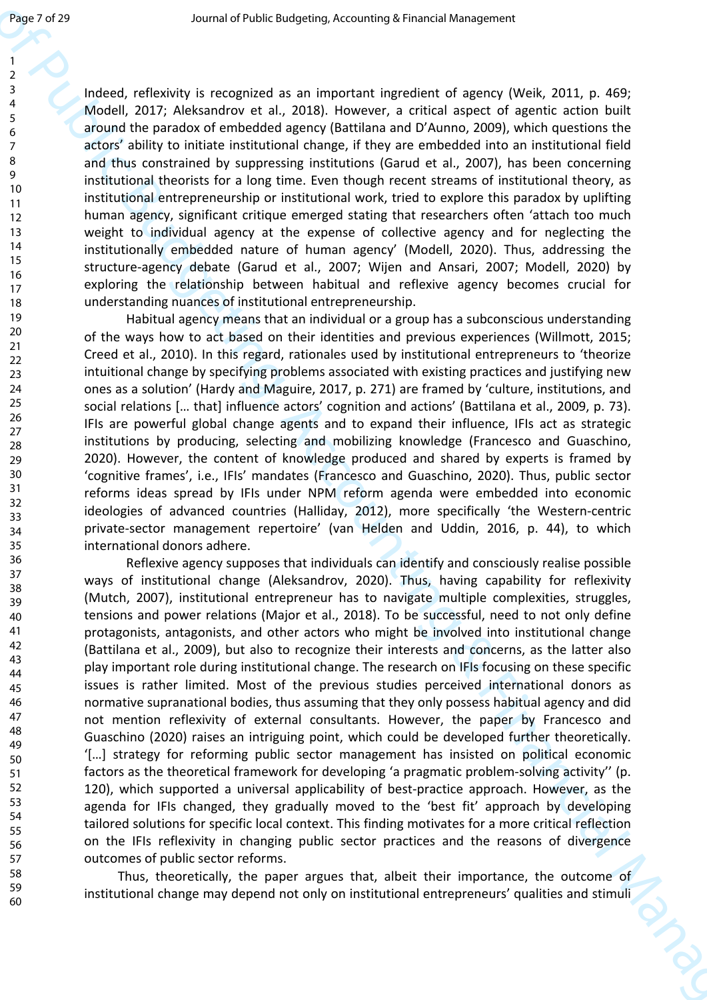> 59 60

Indeed, reflexivity is recognized as an important ingredient of agency (Weik, 2011, p. 469; Modell, 2017; Aleksandrov et al., 2018). However, a critical aspect of agentic action built around the paradox of embedded agency (Battilana and D'Aunno, 2009), which questions the actors' ability to initiate institutional change, if they are embedded into an institutional field and thus constrained by suppressing institutions (Garud et al., 2007), has been concerning institutional theorists for a long time. Even though recent streams of institutional theory, as institutional entrepreneurship or institutional work, tried to explore this paradox by uplifting human agency, significant critique emerged stating that researchers often 'attach too much weight to individual agency at the expense of collective agency and for neglecting the institutionally embedded nature of human agency' (Modell, 2020). Thus, addressing the structure-agency debate (Garud et al., 2007; Wijen and Ansari, 2007; Modell, 2020) by exploring the relationship between habitual and reflexive agency becomes crucial for understanding nuances of institutional entrepreneurship.

Habitual agency means that an individual or a group has a subconscious understanding of the ways how to act based on their identities and previous experiences (Willmott, 2015; Creed et al., 2010). In this regard, rationales used by institutional entrepreneurs to 'theorize intuitional change by specifying problems associated with existing practices and justifying new ones as a solution' (Hardy and Maguire, 2017, p. 271) are framed by 'culture, institutions, and social relations [… that] influence actors' cognition and actions' (Battilana et al., 2009, p. 73). IFIs are powerful global change agents and to expand their influence, IFIs act as strategic institutions by producing, selecting and mobilizing knowledge (Francesco and Guaschino, 2020). However, the content of knowledge produced and shared by experts is framed by 'cognitive frames', i.e., IFIs' mandates (Francesco and Guaschino, 2020). Thus, public sector reforms ideas spread by IFIs under NPM reform agenda were embedded into economic ideologies of advanced countries (Halliday, 2012), more specifically 'the Western-centric private-sector management repertoire' (van Helden and Uddin, 2016, p. 44), to which international donors adhere.

**Figure 1712**<br>
Journal of Public Budgeting Accounting to measure of the Public Budgeting Accounting to the Public Budgeting Accounting to the Public Budgeting Control of Public Budgeting Control of Public Budgeting Contro Reflexive agency supposes that individuals can identify and consciously realise possible ways of institutional change (Aleksandrov, 2020). Thus, having capability for reflexivity (Mutch, 2007), institutional entrepreneur has to navigate multiple complexities, struggles, tensions and power relations (Major et al., 2018). To be successful, need to not only define protagonists, antagonists, and other actors who might be involved into institutional change (Battilana et al., 2009), but also to recognize their interests and concerns, as the latter also play important role during institutional change. The research on IFIs focusing on these specific issues is rather limited. Most of the previous studies perceived international donors as normative supranational bodies, thus assuming that they only possess habitual agency and did not mention reflexivity of external consultants. However, the paper by Francesco and Guaschino (2020) raises an intriguing point, which could be developed further theoretically. '[…] strategy for reforming public sector management has insisted on political economic factors as the theoretical framework for developing 'a pragmatic problem-solving activity'' (p. 120), which supported a universal applicability of best-practice approach. However, as the agenda for IFIs changed, they gradually moved to the 'best fit' approach by developing tailored solutions for specific local context. This finding motivates for a more critical reflection on the IFIs reflexivity in changing public sector practices and the reasons of divergence outcomes of public sector reforms.

Thus, theoretically, the paper argues that, albeit their importance, the outcome of institutional change may depend not only on institutional entrepreneurs' qualities and stimuli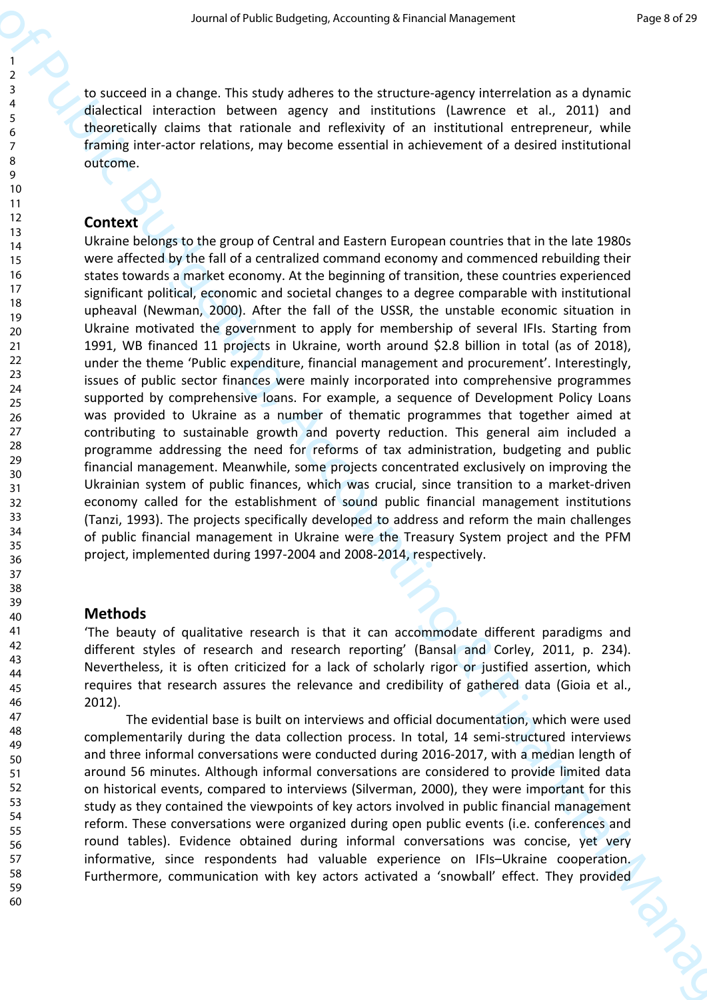to succeed in a change. This study adheres to the structure-agency interrelation as a dynamic dialectical interaction between agency and institutions (Lawrence et al., 2011) and theoretically claims that rationale and reflexivity of an institutional entrepreneur, while framing inter-actor relations, may become essential in achievement of a desired institutional outcome.

### **Context**

Second of Public Budgeting, Accounting to Financial Summer Properties<br>
2. Second in a change This multiple are as the financial Management in a summitted of Public Budgeting and<br>
1. Second in the second of Public Budgetin Ukraine belongs to the group of Central and Eastern European countries that in the late 1980s were affected by the fall of a centralized command economy and commenced rebuilding their states towards a market economy. At the beginning of transition, these countries experienced significant political, economic and societal changes to a degree comparable with institutional upheaval (Newman, 2000). After the fall of the USSR, the unstable economic situation in Ukraine motivated the government to apply for membership of several IFIs. Starting from 1991, WB financed 11 projects in Ukraine, worth around \$2.8 billion in total (as of 2018), under the theme 'Public expenditure, financial management and procurement'. Interestingly, issues of public sector finances were mainly incorporated into comprehensive programmes supported by comprehensive loans. For example, a sequence of Development Policy Loans was provided to Ukraine as a number of thematic programmes that together aimed at contributing to sustainable growth and poverty reduction. This general aim included a programme addressing the need for reforms of tax administration, budgeting and public financial management. Meanwhile, some projects concentrated exclusively on improving the Ukrainian system of public finances, which was crucial, since transition to a market-driven economy called for the establishment of sound public financial management institutions (Tanzi, 1993). The projects specifically developed to address and reform the main challenges of public financial management in Ukraine were the Treasury System project and the PFM project, implemented during 1997-2004 and 2008-2014, respectively.

# **Methods**

'The beauty of qualitative research is that it can accommodate different paradigms and different styles of research and research reporting' (Bansal and Corley, 2011, p. 234). Nevertheless, it is often criticized for a lack of scholarly rigor or justified assertion, which requires that research assures the relevance and credibility of gathered data (Gioia et al., 2012).

The evidential base is built on interviews and official documentation, which were used complementarily during the data collection process. In total, 14 semi-structured interviews and three informal conversations were conducted during 2016-2017, with a median length of around 56 minutes. Although informal conversations are considered to provide limited data on historical events, compared to interviews (Silverman, 2000), they were important for this study as they contained the viewpoints of key actors involved in public financial management reform. These conversations were organized during open public events (i.e. conferences and round tables). Evidence obtained during informal conversations was concise, yet very informative, since respondents had valuable experience on IFIs–Ukraine cooperation. Furthermore, communication with key actors activated a 'snowball' effect. They provided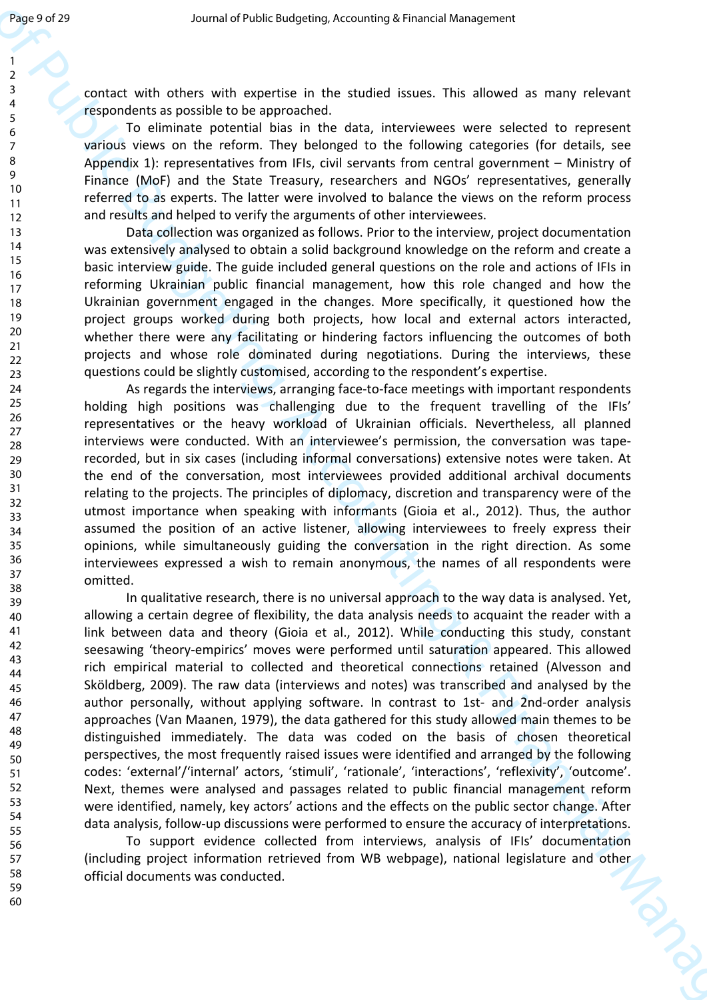contact with others with expertise in the studied issues. This allowed as many relevant respondents as possible to be approached.

To eliminate potential bias in the data, interviewees were selected to represent various views on the reform. They belonged to the following categories (for details, see Appendix 1): representatives from IFIs, civil servants from central government – Ministry of Finance (MoF) and the State Treasury, researchers and NGOs' representatives, generally referred to as experts. The latter were involved to balance the views on the reform process and results and helped to verify the arguments of other interviewees.

Data collection was organized as follows. Prior to the interview, project documentation was extensively analysed to obtain a solid background knowledge on the reform and create a basic interview guide. The guide included general questions on the role and actions of IFIs in reforming Ukrainian public financial management, how this role changed and how the Ukrainian government engaged in the changes. More specifically, it questioned how the project groups worked during both projects, how local and external actors interacted, whether there were any facilitating or hindering factors influencing the outcomes of both projects and whose role dominated during negotiations. During the interviews, these questions could be slightly customised, according to the respondent's expertise.

As regards the interviews, arranging face-to-face meetings with important respondents holding high positions was challenging due to the frequent travelling of the IFIs' representatives or the heavy workload of Ukrainian officials. Nevertheless, all planned interviews were conducted. With an interviewee's permission, the conversation was taperecorded, but in six cases (including informal conversations) extensive notes were taken. At the end of the conversation, most interviewees provided additional archival documents relating to the projects. The principles of diplomacy, discretion and transparency were of the utmost importance when speaking with informants (Gioia et al., 2012). Thus, the author assumed the position of an active listener, allowing interviewees to freely express their opinions, while simultaneously guiding the conversation in the right direction. As some interviewees expressed a wish to remain anonymous, the names of all respondents were omitted.

**Experimental of the control of the control of the control of the control of the control of the control of the control of the control of the control of the control of the control of the control of the control of the contr** In qualitative research, there is no universal approach to the way data is analysed. Yet, allowing a certain degree of flexibility, the data analysis needs to acquaint the reader with a link between data and theory (Gioia et al., 2012). While conducting this study, constant seesawing 'theory-empirics' moves were performed until saturation appeared. This allowed rich empirical material to collected and theoretical connections retained (Alvesson and Sköldberg, 2009). The raw data (interviews and notes) was transcribed and analysed by the author personally, without applying software. In contrast to 1st- and 2nd-order analysis approaches (Van Maanen, 1979), the data gathered for this study allowed main themes to be distinguished immediately. The data was coded on the basis of chosen theoretical perspectives, the most frequently raised issues were identified and arranged by the following codes: 'external'/'internal' actors, 'stimuli', 'rationale', 'interactions', 'reflexivity', 'outcome'. Next, themes were analysed and passages related to public financial management reform were identified, namely, key actors' actions and the effects on the public sector change. After data analysis, follow-up discussions were performed to ensure the accuracy of interpretations.

To support evidence collected from interviews, analysis of IFIs' documentation (including project information retrieved from WB webpage), national legislature and other official documents was conducted.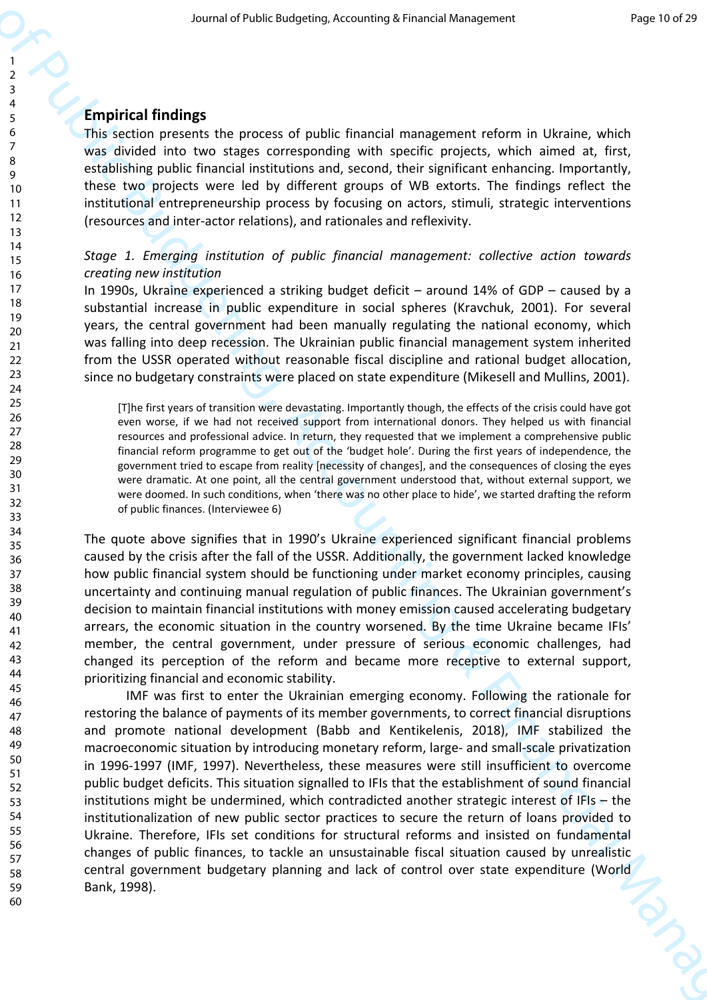# **Empirical findings**

This section presents the process of public financial management reform in Ukraine, which was divided into two stages corresponding with specific projects, which aimed at, first, establishing public financial institutions and, second, their significant enhancing. Importantly, these two projects were led by different groups of WB extorts. The findings reflect the institutional entrepreneurship process by focusing on actors, stimuli, strategic interventions (resources and inter-actor relations), and rationales and reflexivity.

# *Stage 1. Emerging institution of public financial management: collective action towards creating new institution*

In 1990s, Ukraine experienced a striking budget deficit – around 14% of GDP – caused by a substantial increase in public expenditure in social spheres (Kravchuk, 2001). For several years, the central government had been manually regulating the national economy, which was falling into deep recession. The Ukrainian public financial management system inherited from the USSR operated without reasonable fiscal discipline and rational budget allocation, since no budgetary constraints were placed on state expenditure (Mikesell and Mullins, 2001).

[T]he first years of transition were devastating. Importantly though, the effects of the crisis could have got even worse, if we had not received support from international donors. They helped us with financial resources and professional advice. In return, they requested that we implement a comprehensive public financial reform programme to get out of the 'budget hole'. During the first years of independence, the government tried to escape from reality [necessity of changes], and the consequences of closing the eyes were dramatic. At one point, all the central government understood that, without external support, we were doomed. In such conditions, when 'there was no other place to hide', we started drafting the reform of public finances. (Interviewee 6)

The quote above signifies that in 1990's Ukraine experienced significant financial problems caused by the crisis after the fall of the USSR. Additionally, the government lacked knowledge how public financial system should be functioning under market economy principles, causing uncertainty and continuing manual regulation of public finances. The Ukrainian government's decision to maintain financial institutions with money emission caused accelerating budgetary arrears, the economic situation in the country worsened. By the time Ukraine became IFIs' member, the central government, under pressure of serious economic challenges, had changed its perception of the reform and became more receptive to external support, prioritizing financial and economic stability.

Second of Public Engines Accounting to remain Survey the Bullion Public Bullion (1993)<br>
Transformation (1993) and the public Bureau of public Bureau of Public Bureau of Public Bureau of Public Bureau of Public Bureau of P IMF was first to enter the Ukrainian emerging economy. Following the rationale for restoring the balance of payments of its member governments, to correct financial disruptions and promote national development (Babb and Kentikelenis, 2018), IMF stabilized the macroeconomic situation by introducing monetary reform, large- and small-scale privatization in 1996-1997 (IMF, 1997). Nevertheless, these measures were still insufficient to overcome public budget deficits. This situation signalled to IFIs that the establishment of sound financial institutions might be undermined, which contradicted another strategic interest of IFIs – the institutionalization of new public sector practices to secure the return of loans provided to Ukraine. Therefore, IFIs set conditions for structural reforms and insisted on fundamental changes of public finances, to tackle an unsustainable fiscal situation caused by unrealistic central government budgetary planning and lack of control over state expenditure (World Bank, 1998).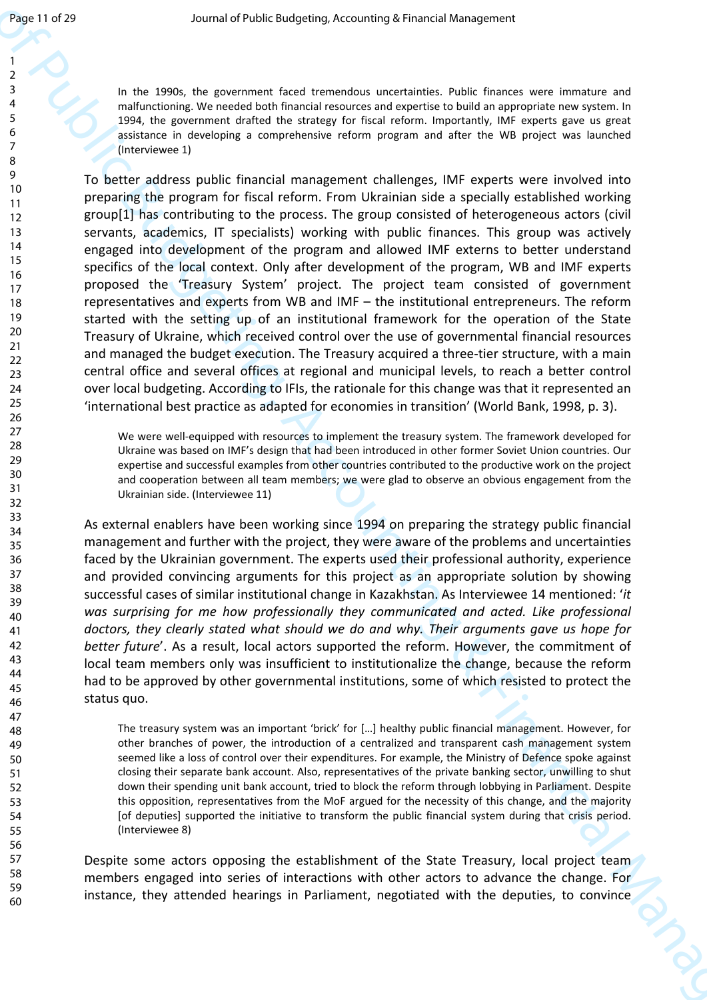In the 1990s, the government faced tremendous uncertainties. Public finances were immature and malfunctioning. We needed both financial resources and expertise to build an appropriate new system. In 1994, the government drafted the strategy for fiscal reform. Importantly, IMF experts gave us great assistance in developing a comprehensive reform program and after the WB project was launched (Interviewee 1)

Journal of Public Budgeting, Accounting to Financial Management<br>  $\frac{1}{2}$ <br>  $\frac{1}{2}$ <br>  $\frac{1}{2}$ <br>  $\frac{1}{2}$ <br>  $\frac{1}{2}$ <br>  $\frac{1}{2}$ <br>  $\frac{1}{2}$ <br>  $\frac{1}{2}$ <br>  $\frac{1}{2}$ <br>  $\frac{1}{2}$ <br>  $\frac{1}{2}$ <br>  $\frac{1}{2}$ <br>  $\frac{1}{2}$ <br>  $\frac{1}{2}$ <br>  $\$ To better address public financial management challenges, IMF experts were involved into preparing the program for fiscal reform. From Ukrainian side a specially established working group[1] has contributing to the process. The group consisted of heterogeneous actors (civil servants, academics, IT specialists) working with public finances. This group was actively engaged into development of the program and allowed IMF externs to better understand specifics of the local context. Only after development of the program, WB and IMF experts proposed the 'Treasury System' project. The project team consisted of government representatives and experts from WB and IMF – the institutional entrepreneurs. The reform started with the setting up of an institutional framework for the operation of the State Treasury of Ukraine, which received control over the use of governmental financial resources and managed the budget execution. The Treasury acquired a three-tier structure, with a main central office and several offices at regional and municipal levels, to reach a better control over local budgeting. According to IFIs, the rationale for this change was that it represented an 'international best practice as adapted for economies in transition' (World Bank, 1998, p. 3).

We were well-equipped with resources to implement the treasury system. The framework developed for Ukraine was based on IMF's design that had been introduced in other former Soviet Union countries. Our expertise and successful examples from other countries contributed to the productive work on the project and cooperation between all team members; we were glad to observe an obvious engagement from the Ukrainian side. (Interviewee 11)

As external enablers have been working since 1994 on preparing the strategy public financial management and further with the project, they were aware of the problems and uncertainties faced by the Ukrainian government. The experts used their professional authority, experience and provided convincing arguments for this project as an appropriate solution by showing successful cases of similar institutional change in Kazakhstan. As Interviewee 14 mentioned: '*it*  was surprising for me how professionally they communicated and acted. Like professional *doctors, they clearly stated what should we do and why. Their arguments gave us hope for better future*'. As a result, local actors supported the reform. However, the commitment of local team members only was insufficient to institutionalize the change, because the reform had to be approved by other governmental institutions, some of which resisted to protect the status quo.

The treasury system was an important 'brick' for […] healthy public financial management. However, for other branches of power, the introduction of a centralized and transparent cash management system seemed like a loss of control over their expenditures. For example, the Ministry of Defence spoke against closing their separate bank account. Also, representatives of the private banking sector, unwilling to shut down their spending unit bank account, tried to block the reform through lobbying in Parliament. Despite this opposition, representatives from the MoF argued for the necessity of this change, and the majority [of deputies] supported the initiative to transform the public financial system during that crisis period. (Interviewee 8)

Despite some actors opposing the establishment of the State Treasury, local project team members engaged into series of interactions with other actors to advance the change. For instance, they attended hearings in Parliament, negotiated with the deputies, to convince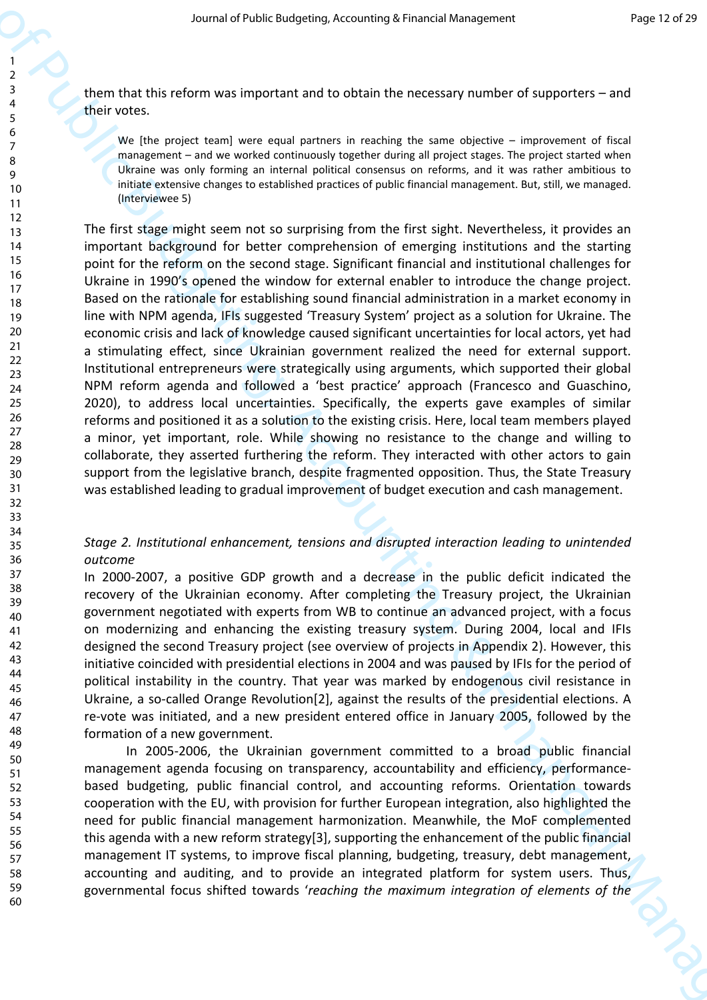them that this reform was important and to obtain the necessary number of supporters – and their votes.

We [the project team] were equal partners in reaching the same objective – improvement of fiscal management – and we worked continuously together during all project stages. The project started when Ukraine was only forming an internal political consensus on reforms, and it was rather ambitious to initiate extensive changes to established practices of public financial management. But, still, we managed. (Interviewee 5)

Second of Public Budgeting, Accounting to Financial Hermannic Valence in the stationary of the continent of the Continent Continent Continent Continent Continent Continent Continent Continent Continent Continent Continent The first stage might seem not so surprising from the first sight. Nevertheless, it provides an important background for better comprehension of emerging institutions and the starting point for the reform on the second stage. Significant financial and institutional challenges for Ukraine in 1990's opened the window for external enabler to introduce the change project. Based on the rationale for establishing sound financial administration in a market economy in line with NPM agenda, IFIs suggested 'Treasury System' project as a solution for Ukraine. The economic crisis and lack of knowledge caused significant uncertainties for local actors, yet had a stimulating effect, since Ukrainian government realized the need for external support. Institutional entrepreneurs were strategically using arguments, which supported their global NPM reform agenda and followed a 'best practice' approach (Francesco and Guaschino, 2020), to address local uncertainties. Specifically, the experts gave examples of similar reforms and positioned it as a solution to the existing crisis. Here, local team members played a minor, yet important, role. While showing no resistance to the change and willing to collaborate, they asserted furthering the reform. They interacted with other actors to gain support from the legislative branch, despite fragmented opposition. Thus, the State Treasury was established leading to gradual improvement of budget execution and cash management.

# *Stage 2. Institutional enhancement, tensions and disrupted interaction leading to unintended outcome*

In 2000-2007, a positive GDP growth and a decrease in the public deficit indicated the recovery of the Ukrainian economy. After completing the Treasury project, the Ukrainian government negotiated with experts from WB to continue an advanced project, with a focus on modernizing and enhancing the existing treasury system. During 2004, local and IFIs designed the second Treasury project (see overview of projects in Appendix 2). However, this initiative coincided with presidential elections in 2004 and was paused by IFIs for the period of political instability in the country. That year was marked by endogenous civil resistance in Ukraine, a so-called Orange Revolution[2], against the results of the presidential elections. A re-vote was initiated, and a new president entered office in January 2005, followed by the formation of a new government.

In 2005-2006, the Ukrainian government committed to a broad public financial management agenda focusing on transparency, accountability and efficiency, performancebased budgeting, public financial control, and accounting reforms. Orientation towards cooperation with the EU, with provision for further European integration, also highlighted the need for public financial management harmonization. Meanwhile, the MoF complemented this agenda with a new reform strategy[3], supporting the enhancement of the public financial management IT systems, to improve fiscal planning, budgeting, treasury, debt management, accounting and auditing, and to provide an integrated platform for system users. Thus, governmental focus shifted towards '*reaching the maximum integration of elements of the*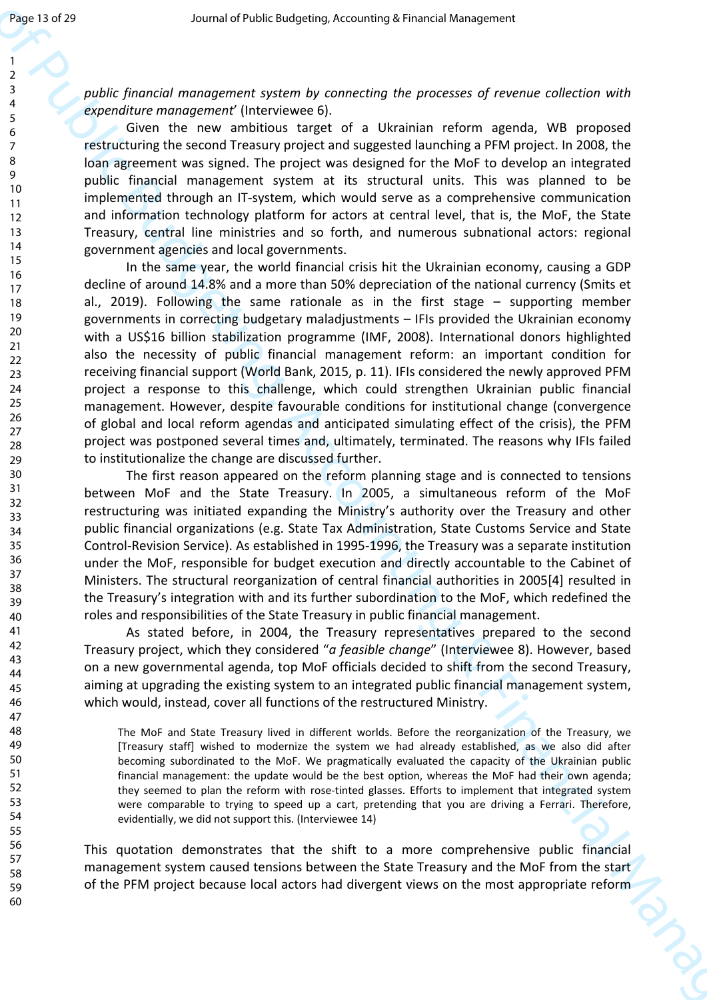*public financial management system by connecting the processes of revenue collection with expenditure management*' (Interviewee 6).

Given the new ambitious target of a Ukrainian reform agenda, WB proposed restructuring the second Treasury project and suggested launching a PFM project. In 2008, the loan agreement was signed. The project was designed for the MoF to develop an integrated public financial management system at its structural units. This was planned to be implemented through an IT-system, which would serve as a comprehensive communication and information technology platform for actors at central level, that is, the MoF, the State Treasury, central line ministries and so forth, and numerous subnational actors: regional government agencies and local governments.

Journal of the consensus of the consensus of the consensus of the consensus of the consensus of the consensus of the consensus of the consensus of the consensus of the consensus of the consensus of the consensus of the co In the same year, the world financial crisis hit the Ukrainian economy, causing a GDP decline of around 14.8% and a more than 50% depreciation of the national currency (Smits et al., 2019). Following the same rationale as in the first stage – supporting member governments in correcting budgetary maladjustments – IFIs provided the Ukrainian economy with a US\$16 billion stabilization programme (IMF, 2008). International donors highlighted also the necessity of public financial management reform: an important condition for receiving financial support (World Bank, 2015, p. 11). IFIs considered the newly approved PFM project a response to this challenge, which could strengthen Ukrainian public financial management. However, despite favourable conditions for institutional change (convergence of global and local reform agendas and anticipated simulating effect of the crisis), the PFM project was postponed several times and, ultimately, terminated. The reasons why IFIs failed to institutionalize the change are discussed further.

The first reason appeared on the reform planning stage and is connected to tensions between MoF and the State Treasury. In 2005, a simultaneous reform of the MoF restructuring was initiated expanding the Ministry's authority over the Treasury and other public financial organizations (e.g. State Tax Administration, State Customs Service and State Control-Revision Service). As established in 1995-1996, the Treasury was a separate institution under the MoF, responsible for budget execution and directly accountable to the Cabinet of Ministers. The structural reorganization of central financial authorities in 2005[4] resulted in the Treasury's integration with and its further subordination to the MoF, which redefined the roles and responsibilities of the State Treasury in public financial management.

As stated before, in 2004, the Treasury representatives prepared to the second Treasury project, which they considered "*a feasible change*" (Interviewee 8). However, based on a new governmental agenda, top MoF officials decided to shift from the second Treasury, aiming at upgrading the existing system to an integrated public financial management system, which would, instead, cover all functions of the restructured Ministry.

The MoF and State Treasury lived in different worlds. Before the reorganization of the Treasury, we [Treasury staff] wished to modernize the system we had already established, as we also did after becoming subordinated to the MoF. We pragmatically evaluated the capacity of the Ukrainian public financial management: the update would be the best option, whereas the MoF had their own agenda; they seemed to plan the reform with rose-tinted glasses. Efforts to implement that integrated system were comparable to trying to speed up a cart, pretending that you are driving a Ferrari. Therefore, evidentially, we did not support this. (Interviewee 14)

This quotation demonstrates that the shift to a more comprehensive public financial management system caused tensions between the State Treasury and the MoF from the start of the PFM project because local actors had divergent views on the most appropriate reform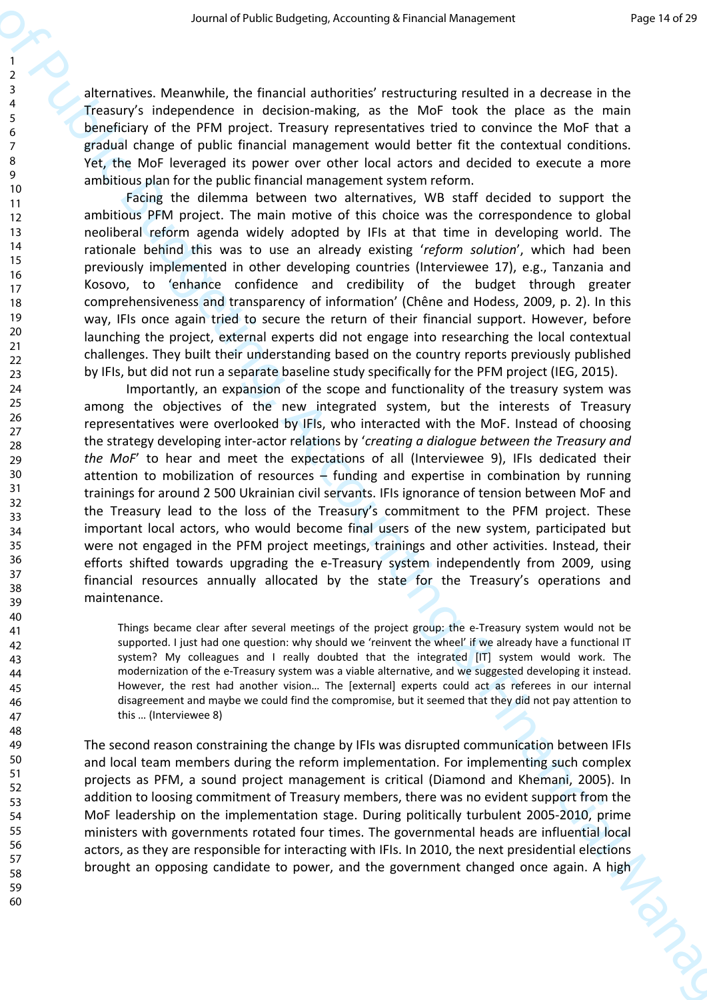alternatives. Meanwhile, the financial authorities' restructuring resulted in a decrease in the Treasury's independence in decision-making, as the MoF took the place as the main beneficiary of the PFM project. Treasury representatives tried to convince the MoF that a gradual change of public financial management would better fit the contextual conditions. Yet, the MoF leveraged its power over other local actors and decided to execute a more ambitious plan for the public financial management system reform.

Facing the dilemma between two alternatives, WB staff decided to support the ambitious PFM project. The main motive of this choice was the correspondence to global neoliberal reform agenda widely adopted by IFIs at that time in developing world. The rationale behind this was to use an already existing '*reform solution*', which had been previously implemented in other developing countries (Interviewee 17), e.g., Tanzania and Kosovo, to 'enhance confidence and credibility of the budget through greater comprehensiveness and transparency of information' (Chêne and Hodess, 2009, p. 2). In this way, IFIs once again tried to secure the return of their financial support. However, before launching the project, external experts did not engage into researching the local contextual challenges. They built their understanding based on the country reports previously published by IFIs, but did not run a separate baseline study specifically for the PFM project (IEG, 2015).

scenario which continues the method is a statement of Public Budgeting accounting to result the second interest.<br>
The method is a proposition of the method interest in the second interest in the second interest.<br>
The meth Importantly, an expansion of the scope and functionality of the treasury system was among the objectives of the new integrated system, but the interests of Treasury representatives were overlooked by IFIs, who interacted with the MoF. Instead of choosing the strategy developing inter-actor relations by '*creating a dialogue between the Treasury and the MoF*' to hear and meet the expectations of all (Interviewee 9), IFIs dedicated their attention to mobilization of resources – funding and expertise in combination by running trainings for around 2 500 Ukrainian civil servants. IFIs ignorance of tension between MoF and the Treasury lead to the loss of the Treasury's commitment to the PFM project. These important local actors, who would become final users of the new system, participated but were not engaged in the PFM project meetings, trainings and other activities. Instead, their efforts shifted towards upgrading the e-Treasury system independently from 2009, using financial resources annually allocated by the state for the Treasury's operations and maintenance.

Things became clear after several meetings of the project group: the e-Treasury system would not be supported. I just had one question: why should we 'reinvent the wheel' if we already have a functional IT system? My colleagues and I really doubted that the integrated [IT] system would work. The modernization of the e-Treasury system was a viable alternative, and we suggested developing it instead. However, the rest had another vision… The [external] experts could act as referees in our internal disagreement and maybe we could find the compromise, but it seemed that they did not pay attention to this … (Interviewee 8)

The second reason constraining the change by IFIs was disrupted communication between IFIs and local team members during the reform implementation. For implementing such complex projects as PFM, a sound project management is critical (Diamond and Khemani, 2005). In addition to loosing commitment of Treasury members, there was no evident support from the MoF leadership on the implementation stage. During politically turbulent 2005-2010, prime ministers with governments rotated four times. The governmental heads are influential local actors, as they are responsible for interacting with IFIs. In 2010, the next presidential elections brought an opposing candidate to power, and the government changed once again. A high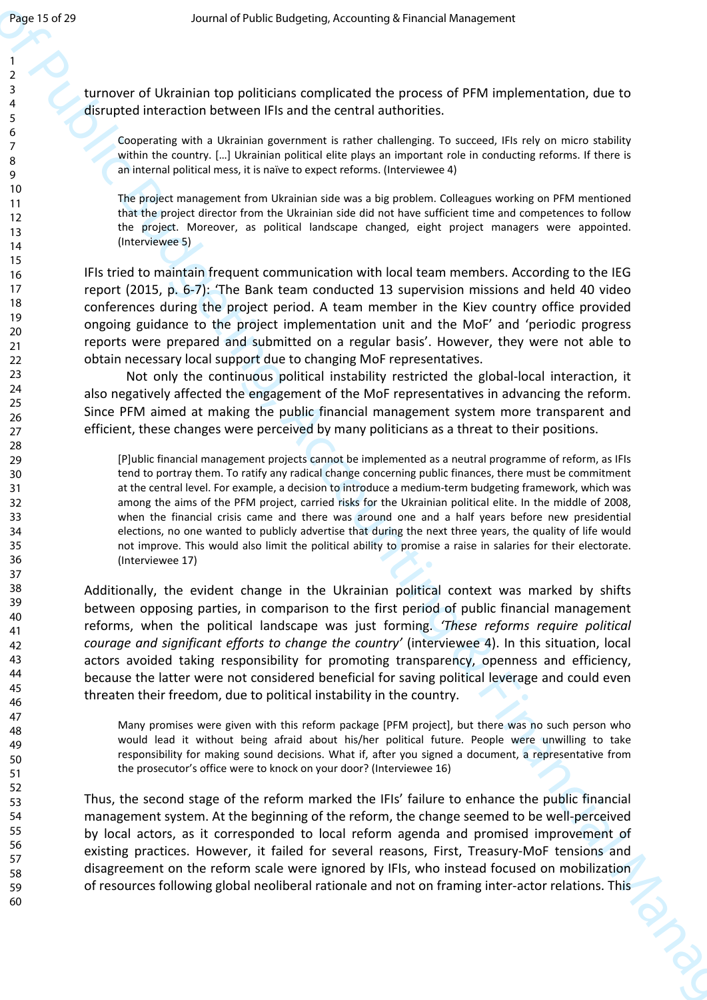turnover of Ukrainian top politicians complicated the process of PFM implementation, due to disrupted interaction between IFIs and the central authorities.

Cooperating with a Ukrainian government is rather challenging. To succeed, IFIs rely on micro stability within the country. […] Ukrainian political elite plays an important role in conducting reforms. If there is an internal political mess, it is naïve to expect reforms. (Interviewee 4)

The project management from Ukrainian side was a big problem. Colleagues working on PFM mentioned that the project director from the Ukrainian side did not have sufficient time and competences to follow the project. Moreover, as political landscape changed, eight project managers were appointed. (Interviewee 5)

IFIs tried to maintain frequent communication with local team members. According to the IEG report (2015, p. 6-7): 'The Bank team conducted 13 supervision missions and held 40 video conferences during the project period. A team member in the Kiev country office provided ongoing guidance to the project implementation unit and the MoF' and 'periodic progress reports were prepared and submitted on a regular basis'. However, they were not able to obtain necessary local support due to changing MoF representatives.

Not only the continuous political instability restricted the global-local interaction, it also negatively affected the engagement of the MoF representatives in advancing the reform. Since PFM aimed at making the public financial management system more transparent and efficient, these changes were perceived by many politicians as a threat to their positions.

[P]ublic financial management projects cannot be implemented as a neutral programme of reform, as IFIs tend to portray them. To ratify any radical change concerning public finances, there must be commitment at the central level. For example, a decision to introduce a medium-term budgeting framework, which was among the aims of the PFM project, carried risks for the Ukrainian political elite. In the middle of 2008, when the financial crisis came and there was around one and a half years before new presidential elections, no one wanted to publicly advertise that during the next three years, the quality of life would not improve. This would also limit the political ability to promise a raise in salaries for their electorate. (Interviewee 17)

Joy 13  $\times$  39<br>  $\times$  30  $\times$  30  $\times$  30  $\times$  30  $\times$  30  $\times$  30  $\times$  30  $\times$  30  $\times$  30  $\times$  30  $\times$  30  $\times$  30  $\times$  30  $\times$  30  $\times$ 30  $\times$ 30  $\times$ 30  $\times$ 30  $\times$ 30  $\times$ 30  $\times$ 30  $\times$ 30  $\times$ 30  $\times$ 30  $\times$ 30  $\times$ 30  $\times$ 30  $\$ Additionally, the evident change in the Ukrainian political context was marked by shifts between opposing parties, in comparison to the first period of public financial management reforms, when the political landscape was just forming. *'These reforms require political courage and significant efforts to change the country'* (interviewee 4). In this situation, local actors avoided taking responsibility for promoting transparency, openness and efficiency, because the latter were not considered beneficial for saving political leverage and could even threaten their freedom, due to political instability in the country.

Many promises were given with this reform package [PFM project], but there was no such person who would lead it without being afraid about his/her political future. People were unwilling to take responsibility for making sound decisions. What if, after you signed a document, a representative from the prosecutor's office were to knock on your door? (Interviewee 16)

Thus, the second stage of the reform marked the IFIs' failure to enhance the public financial management system. At the beginning of the reform, the change seemed to be well-perceived by local actors, as it corresponded to local reform agenda and promised improvement of existing practices. However, it failed for several reasons, First, Treasury-MoF tensions and disagreement on the reform scale were ignored by IFIs, who instead focused on mobilization of resources following global neoliberal rationale and not on framing inter-actor relations. This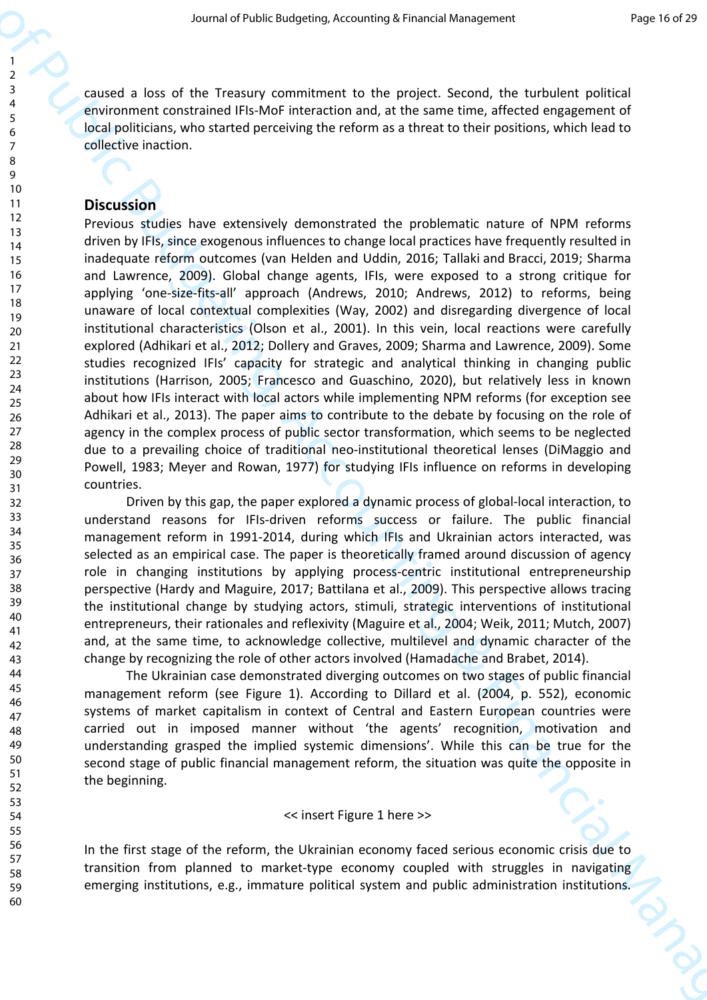caused a loss of the Treasury commitment to the project. Second, the turbulent political environment constrained IFIs-MoF interaction and, at the same time, affected engagement of local politicians, who started perceiving the reform as a threat to their positions, which lead to collective inaction.

#### **Discussion**

Second of Public Budgeting, Accounting to learn the species of Public Budgeting, the species of Public Budgeting and the species of Public Budgeting and the species of Public Budgeting and the species of Public Budgeting Previous studies have extensively demonstrated the problematic nature of NPM reforms driven by IFIs, since exogenous influences to change local practices have frequently resulted in inadequate reform outcomes (van Helden and Uddin, 2016; Tallaki and Bracci, 2019; Sharma and Lawrence, 2009). Global change agents, IFIs, were exposed to a strong critique for applying 'one-size-fits-all' approach (Andrews, 2010; Andrews, 2012) to reforms, being unaware of local contextual complexities (Way, 2002) and disregarding divergence of local institutional characteristics (Olson et al., 2001). In this vein, local reactions were carefully explored (Adhikari et al., 2012; Dollery and Graves, 2009; Sharma and Lawrence, 2009). Some studies recognized IFIs' capacity for strategic and analytical thinking in changing public institutions (Harrison, 2005; Francesco and Guaschino, 2020), but relatively less in known about how IFIs interact with local actors while implementing NPM reforms (for exception see Adhikari et al., 2013). The paper aims to contribute to the debate by focusing on the role of agency in the complex process of public sector transformation, which seems to be neglected due to a prevailing choice of traditional neo-institutional theoretical lenses (DiMaggio and Powell, 1983; Meyer and Rowan, 1977) for studying IFIs influence on reforms in developing countries.

Driven by this gap, the paper explored a dynamic process of global-local interaction, to understand reasons for IFIs-driven reforms success or failure. The public financial management reform in 1991-2014, during which IFIs and Ukrainian actors interacted, was selected as an empirical case. The paper is theoretically framed around discussion of agency role in changing institutions by applying process-centric institutional entrepreneurship perspective (Hardy and Maguire, 2017; Battilana et al., 2009). This perspective allows tracing the institutional change by studying actors, stimuli, strategic interventions of institutional entrepreneurs, their rationales and reflexivity (Maguire et al., 2004; Weik, 2011; Mutch, 2007) and, at the same time, to acknowledge collective, multilevel and dynamic character of the change by recognizing the role of other actors involved (Hamadache and Brabet, 2014).

The Ukrainian case demonstrated diverging outcomes on two stages of public financial management reform (see Figure 1). According to Dillard et al. (2004, p. 552), economic systems of market capitalism in context of Central and Eastern European countries were carried out in imposed manner without 'the agents' recognition, motivation and understanding grasped the implied systemic dimensions'. While this can be true for the second stage of public financial management reform, the situation was quite the opposite in the beginning.

#### << insert Figure 1 here >>

In the first stage of the reform, the Ukrainian economy faced serious economic crisis due to transition from planned to market-type economy coupled with struggles in navigating emerging institutions, e.g., immature political system and public administration institutions.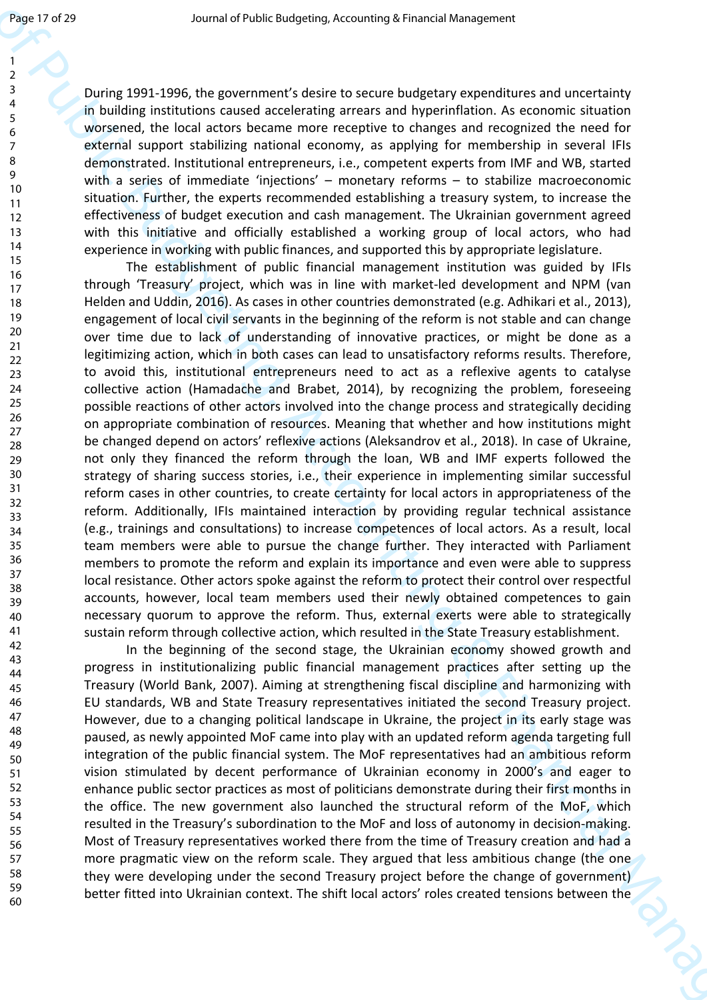During 1991-1996, the government's desire to secure budgetary expenditures and uncertainty in building institutions caused accelerating arrears and hyperinflation. As economic situation worsened, the local actors became more receptive to changes and recognized the need for external support stabilizing national economy, as applying for membership in several IFIs demonstrated. Institutional entrepreneurs, i.e., competent experts from IMF and WB, started with a series of immediate 'injections' – monetary reforms – to stabilize macroeconomic situation. Further, the experts recommended establishing a treasury system, to increase the effectiveness of budget execution and cash management. The Ukrainian government agreed with this initiative and officially established a working group of local actors, who had experience in working with public finances, and supported this by appropriate legislature.

Joy 19  $\times$ 19  $\times$ 19  $\times$ 19  $\times$ 19  $\times$ 19  $\times$ 19  $\times$ 19  $\times$ 19  $\times$ 19  $\times$ 19  $\times$ 19  $\times$ 19  $\times$ 19  $\times$ 19  $\times$ 19  $\times$ 19  $\times$ 19  $\times$ 19  $\times$ 19  $\times$ 19  $\times$ 19  $\times$ 19  $\times$ 19  $\times$ 19  $\times$ 19  $\times$ 19  $\times$ 19  $\times$ 19  $\times$ 19  $\times$ 19  $\times$ The establishment of public financial management institution was guided by IFIs through 'Treasury' project, which was in line with market-led development and NPM (van Helden and Uddin, 2016). As cases in other countries demonstrated (e.g. Adhikari et al., 2013), engagement of local civil servants in the beginning of the reform is not stable and can change over time due to lack of understanding of innovative practices, or might be done as a legitimizing action, which in both cases can lead to unsatisfactory reforms results. Therefore, to avoid this, institutional entrepreneurs need to act as a reflexive agents to catalyse collective action (Hamadache and Brabet, 2014), by recognizing the problem, foreseeing possible reactions of other actors involved into the change process and strategically deciding on appropriate combination of resources. Meaning that whether and how institutions might be changed depend on actors' reflexive actions (Aleksandrov et al., 2018). In case of Ukraine, not only they financed the reform through the loan, WB and IMF experts followed the strategy of sharing success stories, i.e., their experience in implementing similar successful reform cases in other countries, to create certainty for local actors in appropriateness of the reform. Additionally, IFIs maintained interaction by providing regular technical assistance (e.g., trainings and consultations) to increase competences of local actors. As a result, local team members were able to pursue the change further. They interacted with Parliament members to promote the reform and explain its importance and even were able to suppress local resistance. Other actors spoke against the reform to protect their control over respectful accounts, however, local team members used their newly obtained competences to gain necessary quorum to approve the reform. Thus, external exerts were able to strategically sustain reform through collective action, which resulted in the State Treasury establishment.

In the beginning of the second stage, the Ukrainian economy showed growth and progress in institutionalizing public financial management practices after setting up the Treasury (World Bank, 2007). Aiming at strengthening fiscal discipline and harmonizing with EU standards, WB and State Treasury representatives initiated the second Treasury project. However, due to a changing political landscape in Ukraine, the project in its early stage was paused, as newly appointed MoF came into play with an updated reform agenda targeting full integration of the public financial system. The MoF representatives had an ambitious reform vision stimulated by decent performance of Ukrainian economy in 2000's and eager to enhance public sector practices as most of politicians demonstrate during their first months in the office. The new government also launched the structural reform of the MoF, which resulted in the Treasury's subordination to the MoF and loss of autonomy in decision-making. Most of Treasury representatives worked there from the time of Treasury creation and had a more pragmatic view on the reform scale. They argued that less ambitious change (the one they were developing under the second Treasury project before the change of government) better fitted into Ukrainian context. The shift local actors' roles created tensions between the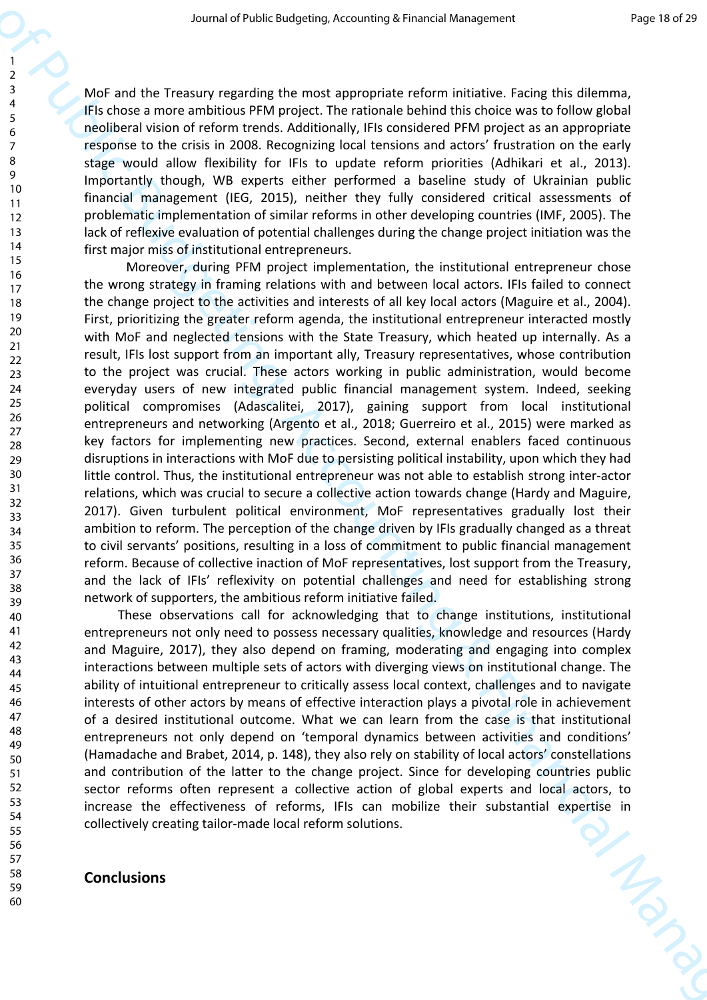MoF and the Treasury regarding the most appropriate reform initiative. Facing this dilemma, IFIs chose a more ambitious PFM project. The rationale behind this choice was to follow global neoliberal vision of reform trends. Additionally, IFIs considered PFM project as an appropriate response to the crisis in 2008. Recognizing local tensions and actors' frustration on the early stage would allow flexibility for IFIs to update reform priorities (Adhikari et al., 2013). Importantly though, WB experts either performed a baseline study of Ukrainian public financial management (IEG, 2015), neither they fully considered critical assessments of problematic implementation of similar reforms in other developing countries (IMF, 2005). The lack of reflexive evaluation of potential challenges during the change project initiation was the first major miss of institutional entrepreneurs.

Second of their constrained is may be constrained in a matching the stationary in the stationary in the stationary in the stationary in the stationary in the stationary in the stationary in the stationary in the stationar Moreover, during PFM project implementation, the institutional entrepreneur chose the wrong strategy in framing relations with and between local actors. IFIs failed to connect the change project to the activities and interests of all key local actors (Maguire et al., 2004). First, prioritizing the greater reform agenda, the institutional entrepreneur interacted mostly with MoF and neglected tensions with the State Treasury, which heated up internally. As a result, IFIs lost support from an important ally, Treasury representatives, whose contribution to the project was crucial. These actors working in public administration, would become everyday users of new integrated public financial management system. Indeed, seeking political compromises (Adascalitei, 2017), gaining support from local institutional entrepreneurs and networking (Argento et al., 2018; Guerreiro et al., 2015) were marked as key factors for implementing new practices. Second, external enablers faced continuous disruptions in interactions with MoF due to persisting political instability, upon which they had little control. Thus, the institutional entrepreneur was not able to establish strong inter-actor relations, which was crucial to secure a collective action towards change (Hardy and Maguire, 2017). Given turbulent political environment, MoF representatives gradually lost their ambition to reform. The perception of the change driven by IFIs gradually changed as a threat to civil servants' positions, resulting in a loss of commitment to public financial management reform. Because of collective inaction of MoF representatives, lost support from the Treasury, and the lack of IFIs' reflexivity on potential challenges and need for establishing strong network of supporters, the ambitious reform initiative failed.

These observations call for acknowledging that to change institutions, institutional entrepreneurs not only need to possess necessary qualities, knowledge and resources (Hardy and Maguire, 2017), they also depend on framing, moderating and engaging into complex interactions between multiple sets of actors with diverging views on institutional change. The ability of intuitional entrepreneur to critically assess local context, challenges and to navigate interests of other actors by means of effective interaction plays a pivotal role in achievement of a desired institutional outcome. What we can learn from the case is that institutional entrepreneurs not only depend on 'temporal dynamics between activities and conditions' (Hamadache and Brabet, 2014, p. 148), they also rely on stability of local actors' constellations and contribution of the latter to the change project. Since for developing countries public sector reforms often represent a collective action of global experts and local actors, to increase the effectiveness of reforms, IFIs can mobilize their substantial expertise in collectively creating tailor-made local reform solutions. collectively creating tailor-made local reform solutions.

# **Conclusions**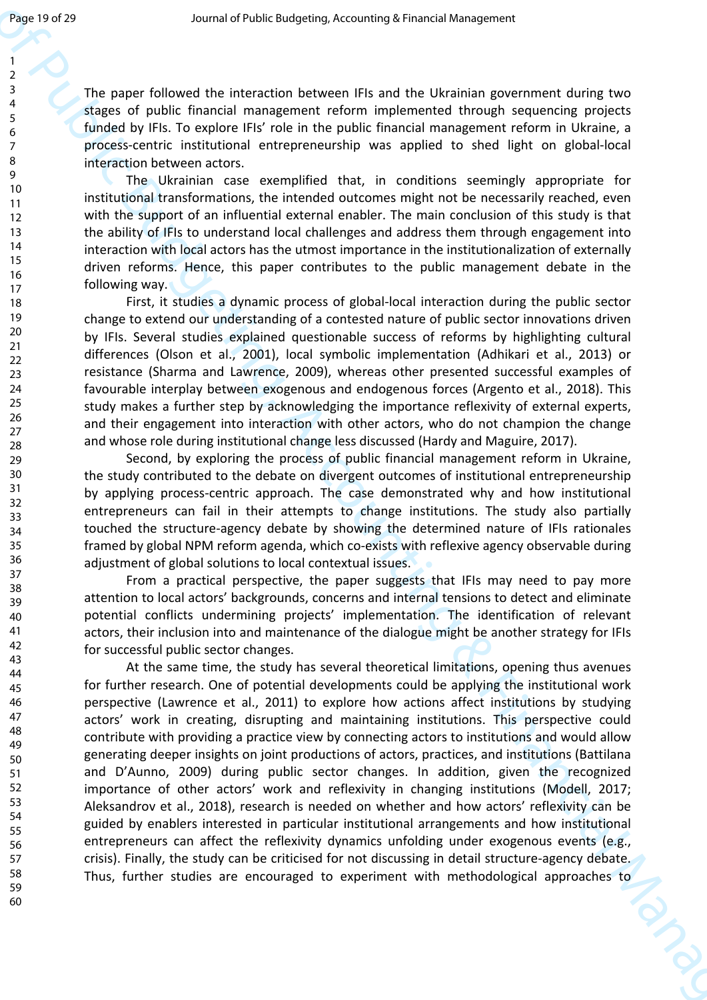The paper followed the interaction between IFIs and the Ukrainian government during two stages of public financial management reform implemented through sequencing projects funded by IFIs. To explore IFIs' role in the public financial management reform in Ukraine, a process-centric institutional entrepreneurship was applied to shed light on global-local interaction between actors. The Ukrainian case exemplified that, in conditions seemingly appropriate for institutional transformations, the intended outcomes might not be necessarily reached, even with the support of an influential external enabler. The main conclusion of this study is that the ability of IFIs to understand local challenges and address them through engagement into interaction with local actors has the utmost importance in the institutionalization of externally driven reforms. Hence, this paper contributes to the public management debate in the following way. 1 2 3 4 5 6 7 8 9 10 11 12 13 14 15 16

> First, it studies a dynamic process of global-local interaction during the public sector change to extend our understanding of a contested nature of public sector innovations driven by IFIs. Several studies explained questionable success of reforms by highlighting cultural differences (Olson et al., 2001), local symbolic implementation (Adhikari et al., 2013) or resistance (Sharma and Lawrence, 2009), whereas other presented successful examples of favourable interplay between exogenous and endogenous forces (Argento et al., 2018). This study makes a further step by acknowledging the importance reflexivity of external experts, and their engagement into interaction with other actors, who do not champion the change and whose role during institutional change less discussed (Hardy and Maguire, 2017).

> Second, by exploring the process of public financial management reform in Ukraine, the study contributed to the debate on divergent outcomes of institutional entrepreneurship by applying process-centric approach. The case demonstrated why and how institutional entrepreneurs can fail in their attempts to change institutions. The study also partially touched the structure-agency debate by showing the determined nature of IFIs rationales framed by global NPM reform agenda, which co-exists with reflexive agency observable during adjustment of global solutions to local contextual issues.

> From a practical perspective, the paper suggests that IFIs may need to pay more attention to local actors' backgrounds, concerns and internal tensions to detect and eliminate potential conflicts undermining projects' implementation. The identification of relevant actors, their inclusion into and maintenance of the dialogue might be another strategy for IFIs for successful public sector changes.

Journal of the the state of the state of the state of the state of the state of the state of the state of Public Budgeting Accounting the state of the state of Public Budgeting Accounting the state of the state of Public At the same time, the study has several theoretical limitations, opening thus avenues for further research. One of potential developments could be applying the institutional work perspective (Lawrence et al., 2011) to explore how actions affect institutions by studying actors' work in creating, disrupting and maintaining institutions. This perspective could contribute with providing a practice view by connecting actors to institutions and would allow generating deeper insights on joint productions of actors, practices, and institutions (Battilana and D'Aunno, 2009) during public sector changes. In addition, given the recognized importance of other actors' work and reflexivity in changing institutions (Modell, 2017; Aleksandrov et al., 2018), research is needed on whether and how actors' reflexivity can be guided by enablers interested in particular institutional arrangements and how institutional entrepreneurs can affect the reflexivity dynamics unfolding under exogenous events (e.g., crisis). Finally, the study can be criticised for not discussing in detail structure-agency debate. Thus, further studies are encouraged to experiment with methodological approaches to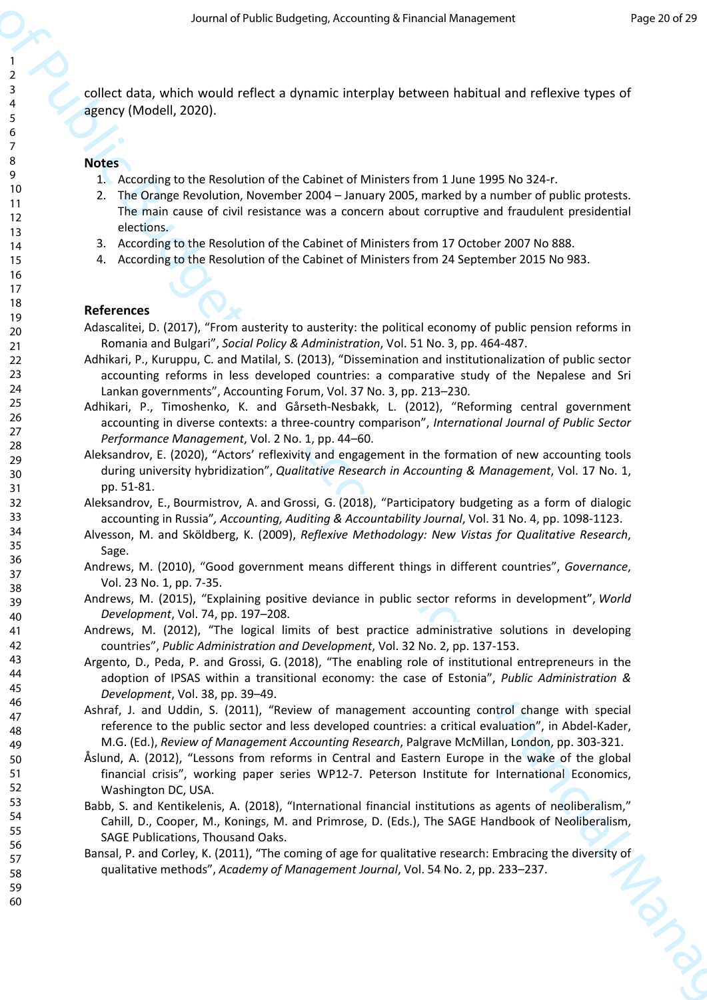collect data, which would reflect a dynamic interplay between habitual and reflexive types of agency (Modell, 2020).

#### **Notes**

- 1. According to the Resolution of the Cabinet of Ministers from 1 June 1995 No 324-r.
- 2. The Orange Revolution, November 2004 January 2005, marked by a number of public protests. The main cause of civil resistance was a concern about corruptive and fraudulent presidential elections.
- 3. According to the Resolution of the Cabinet of Ministers from 17 October 2007 No 888.
- 4. According to the Resolution of the Cabinet of Ministers from 24 September 2015 No 983.

#### **References**

- Adascalitei, D. (2017), "From austerity to austerity: the political economy of public pension reforms in Romania and Bulgari", *Social Policy & Administration*, Vol. 51 No. 3, pp. 464-487.
- Adhikari, P., Kuruppu, C. and Matilal, S. (2013), "Dissemination and institutionalization of public sector accounting reforms in less developed countries: a comparative study of the Nepalese and Sri Lankan governments", Accounting Forum, Vol. 37 No. 3, pp. 213–230.
- Adhikari, P., Timoshenko, K. and Gårseth-Nesbakk, L. (2012), "Reforming central government accounting in diverse contexts: a three-country comparison", *International Journal of Public Sector Performance Management*, Vol. 2 No. 1, pp. 44–60.
- Aleksandrov, E. (2020), "Actors' reflexivity and engagement in the formation of new accounting tools during university hybridization", *Qualitative Research in Accounting & Management*, Vol. 17 No. 1, pp. 51-81.
- Aleksandrov, E., Bourmistrov, A. and Grossi, G. (2018), "Participatory budgeting as a form of dialogic accounting in Russia"*, Accounting, Auditing & Accountability Journal*, Vol. 31 No. 4, pp. 1098-1123.
- Alvesson, M. and Sköldberg, K. (2009), *Reflexive Methodology: New Vistas for Qualitative Research*, Sage.
- Andrews, M. (2010), "Good government means different things in different countries", *Governance*, Vol. 23 No. 1, pp. 7-35.
- Andrews, M. (2015), "Explaining positive deviance in public sector reforms in development", *World Development*, Vol. 74, pp. 197–208.
- Andrews, M. (2012), "The logical limits of best practice administrative solutions in developing countries", *Public Administration and Development*, Vol. 32 No. 2, pp. 137-153.
- Argento, D., Peda, P. and Grossi, G. (2018), "The enabling role of institutional entrepreneurs in the adoption of IPSAS within a transitional economy: the case of Estonia", *Public Administration & Development*, Vol. 38, pp. 39–49.
- Ashraf, J. and Uddin, S. (2011), "Review of management accounting control change with special reference to the public sector and less developed countries: a critical evaluation", in Abdel-Kader, M.G. (Ed.), *Review of Management Accounting Research*, Palgrave McMillan, London, pp. 303-321.
- Section of Public Budgeting, Acc[ou](https://www.emerald.com/insight/publication/issn/0951-3574)nting of Length V shows that the space of Public Budgeting (Accounting the Section of Public Budgeting Control in the Section of Public Budgeting Control in the Section of Public Budgetin Åslund, A. (2012), "Lessons from reforms in Central and Eastern Europe in the wake of the global financial crisis", working paper series WP12-7. Peterson Institute for International Economics, Washington DC, USA.
	- Babb, S. and Kentikelenis, A. (2018), "International financial institutions as agents of neoliberalism," Cahill, D., Cooper, M., Konings, M. and Primrose, D. (Eds.), The SAGE Handbook of Neoliberalism, SAGE Publications, Thousand Oaks.
	- Bansal, P. and Corley, K. (2011), "The coming of age for qualitative research: Embracing the diversity of qualitative methods", *Academy of Management Journal*, Vol. 54 No. 2, pp. 233–237.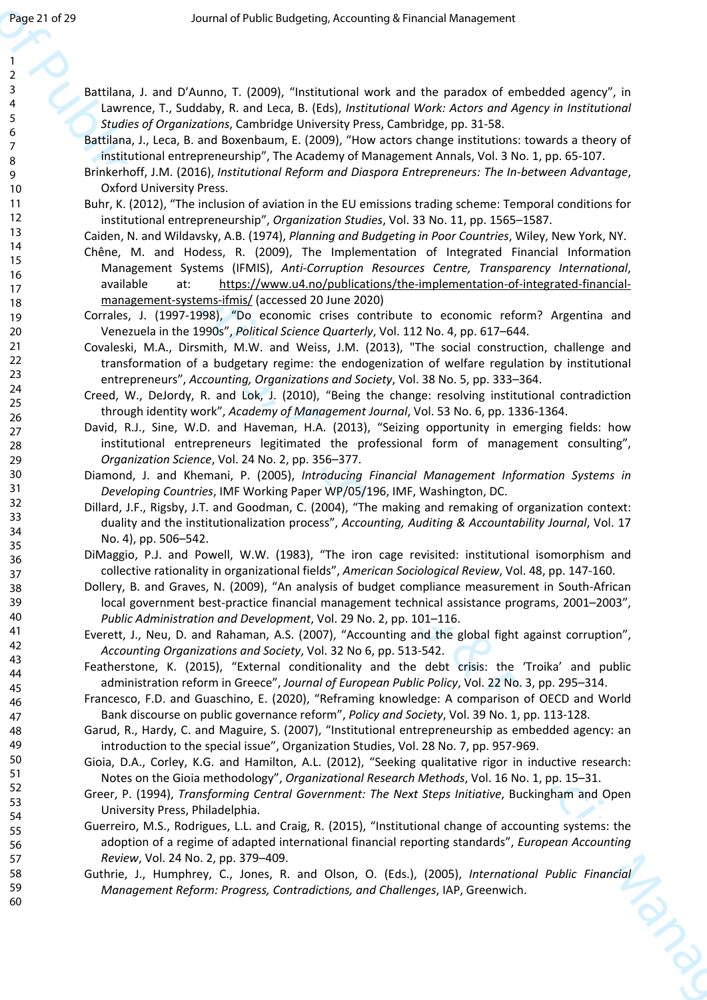60

Battilana, J. and D'Aunno, T. (2009), "Institutional work and the paradox of embedded agency", in Lawrence, T., Suddaby, R. and Leca, B. (Eds), *Institutional Work: Actors and Agency in Institutional Studies of Organizations*, Cambridge University Press, Cambridge, pp. 31-58.

Battilana, J., Leca, B. and Boxenbaum, E. (2009), "How actors change institutions: towards a theory of institutional entrepreneurship", The Academy of Management Annals, Vol. 3 No. 1, pp. 65-107.

Brinkerhoff, J.M. (2016), *Institutional Reform and Diaspora Entrepreneurs: The In-between Advantage*, Oxford University Press.

Buhr, K. (2012), "The inclusion of aviation in the EU emissions trading scheme: Temporal conditions for institutional entrepreneurship", *Organization Studies*, Vol. 33 No. 11, pp. 1565–1587.

Caiden, N. and Wildavsky, A.B. (1974), *Planning and Budgeting in Poor Countries*, Wiley, New York, NY.

They are of 20<br>
Accordi[n](https://ideas.repec.org/a/eee/aosoci/v38y2013i5p333-364.html)[g](https://ideas.repec.org/s/eee/aosoci.html) to the contempt of the contempt of the contempt of the contempt of the contents of the contents of<br>  $\frac{1}{2}$ <br>
According to the contents of the contents of the contents of the contents of<br>  $\frac{1}{$ Chêne, M. and Hodess, R. (2009), The Implementation of Integrated Financial Information Management Systems (IFMIS), *Anti-Corruption Resources Centre, Transparency International*, available at: https://www.u4.no/publications/the-implementation-of-integrated-financialmanagement-systems-ifmis/ (accessed 20 June 2020)

Corrales, J. (1997-1998), "Do economic crises contribute to economic reform? Argentina and Venezuela in the 1990s", *Political Science Quarterly*, Vol. 112 No. 4, pp. 617–644.

Covaleski, M.A., Dirsmith, M.W. and Weiss, J.M. (2013), "The social construction, challenge and transformation of a budgetary regime: the endogenization of welfare regulation by institutional entrepreneurs", *Accounting, Organizations and Society*, Vol. 38 No. 5, pp. 333–364.

Creed, W., DeJordy, R. and Lok, J. (2010), "Being the change: resolving institutional contradiction through identity work", *Academy of Management Journal*, Vol. 53 No. 6, pp. 1336-1364.

David, R.J., Sine, W.D. and Haveman, H.A. (2013), "Seizing opportunity in emerging fields: how institutional entrepreneurs legitimated the professional form of management consulting", *Organization Science*, Vol. 24 No. 2, pp. 356–377.

Diamond, J. and Khemani, P. (2005), *Introducing Financial Management Information Systems in Developing Countries*, IMF Working Paper WP/05/196, IMF, Washington, DC.

Dillard, J.F., Rigsby, J.T. and Goodman, C. (2004), "The making and remaking of organization context: duality and the institutionalization process", *Accounting, Auditing & Accountability Journal*, Vol. 17 No. 4), pp. 506–542.

DiMaggio, P.J. and Powell, W.W. (1983), "The iron cage revisited: institutional isomorphism and collective rationality in organizational fields", *American Sociological Review*, Vol. 48, pp. 147-160.

Dollery, B. and Graves, N. (2009), "An analysis of budget compliance measurement in South-African local government best-practice financial management technical assistance programs, 2001–2003", *Public Administration and Development*, Vol. 29 No. 2, pp. 101–116.

Everett, J., Neu, D. and Rahaman, A.S. (2007), "Accounting and the global fight against corruption", *Accounting Organizations and Society*, Vol. 32 No 6, pp. 513-542.

Featherstone, K. (2015), "External conditionality and the debt crisis: the 'Troika' and public administration reform in Greece", *Journal of European Public Policy*, Vol. 22 No. 3, pp. 295–314.

Francesco, F.D. and Guaschino, E. (2020), "Reframing knowledge: A comparison of OECD and World Bank discourse on public governance reform", *Policy and Society*, Vol. 39 No. 1, pp. 113-128.

Garud, R., Hardy, C. and Maguire, S. (2007), "Institutional entrepreneurship as embedded agency: an introduction to the special issue", Organization Studies, Vol. 28 No. 7, pp. 957-969.

Gioia, D.A., Corley, K.G. and Hamilton, A.L. (2012), "Seeking qualitative rigor in inductive research: Notes on the Gioia methodology", *Organizational Research Methods*, Vol. 16 No. 1, pp. 15–31.

Greer, P. (1994), *Transforming Central Government: The Next Steps Initiative*, Buckingham and Open University Press, Philadelphia.

Guerreiro, M.S., Rodrigues, L.L. and Craig, R. (2015), "Institutional change of accounting systems: the adoption of a regime of adapted international financial reporting standards", *European Accounting Review*, Vol. 24 No. 2, pp. 379–409.

Guthrie, J., Humphrey, C., Jones, R. and Olson, O. (Eds.), (2005), *International Public Financial Management Reform: Progress, Contradictions, and Challenges*, IAP, Greenwich.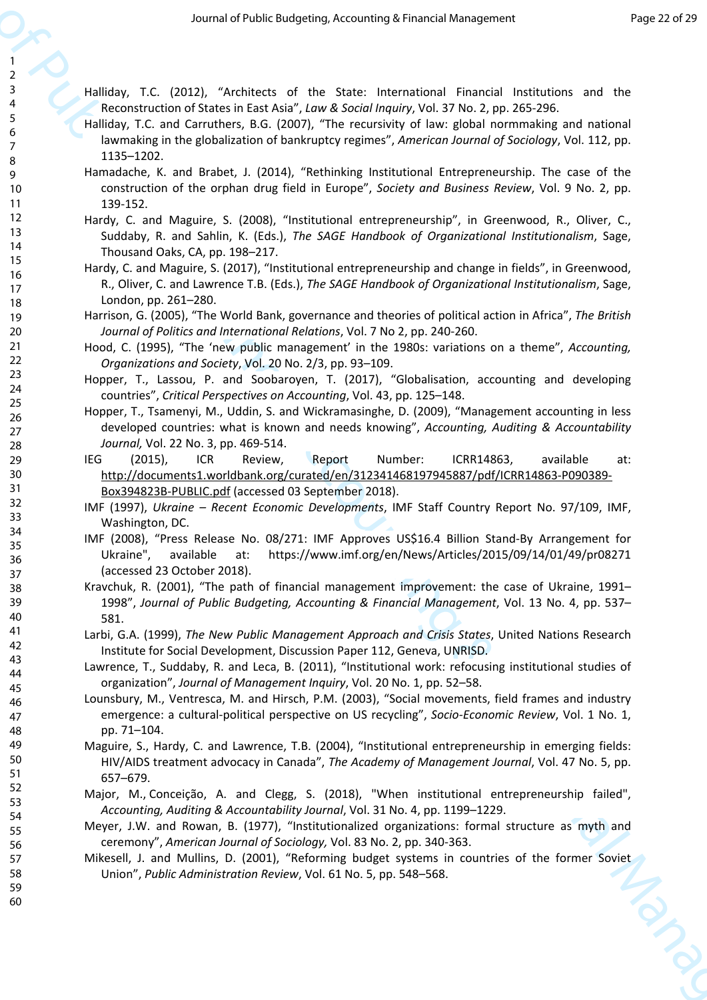Halliday, T.C. (2012), "Architects of the State: International Financial Institutions and the Reconstruction of States in East Asia", *Law & Social Inquiry*, Vol. 37 No. 2, pp. 265-296.

- Halliday, T.C. and Carruthers, B.G. (2007), "The recursivity of law: global normmaking and national lawmaking in the globalization of bankruptcy regimes", *American Journal of Sociology*, Vol. 112, pp. 1135–1202.
- Hamadache, K. and Brabet, J. (2014), "Rethinking Institutional Entrepreneurship. The case of the construction of the orphan drug field in Europe", *Society and Business Review*, Vol. 9 No. 2, pp. 139-152.
- Hardy, C. and Maguire, S. (2008), "Institutional entrepreneurship", in Greenwood, R., Oliver, C., Suddaby, R. and Sahlin, K. (Eds.), *The SAGE Handbook of Organizational Institutionalism*, Sage, Thousand Oaks, CA, pp. 198–217.
- Hardy, C. and Maguire, S. (2017), "Institutional entrepreneurship and change in fields", in Greenwood, R., Oliver, C. and Lawrence T.B. (Eds.), *The SAGE Handbook of Organizational Institutionalism*, Sage, London, pp. 261–280.
- Harrison, G. (2005), "The World Bank, governance and theories of political action in Africa", *The British Journal of Politics and International Relations*, Vol. 7 No 2, pp. 240-260.
- Hood, C. (1995), "The 'new public management' in the 1980s: variations on a theme", *Accounting, Organizations and Society*, Vol. 20 No. 2/3, pp. 93–109.
- Hopper, T., Lassou, P. and Soobaroyen, T. (2017), "Globalisation, accounting and developing countries", *Critical Perspectives on Accounting*, Vol. 43, pp. 125–148.
- Hopper, T., Tsamenyi, M., Uddin, S. and Wickramasinghe, D. (2009), "Management accounting in less developed countries: what is known and needs knowing", *Accounting, Auditing & Accountability Journal,* Vol. 22 No. 3, pp. 469-514.
- IEG (2015), ICR Review, Report Number: ICRR14863, available at: http://documents1.worldbank.org/curated/en/312341468197945887/pdf/ICRR14863-P090389- Box394823B-PUBLIC.pdf (accessed 03 September 2018).
- IMF (1997), *Ukraine Recent Economic Developments*, IMF Staff Country Report No. 97/109, IMF, Washington, DC.
- IMF (2008), "Press Release No. 08/271: IMF Approves US\$16.4 Billion Stand-By Arrangement for Ukraine", available at: https://www.imf.org/en/News/Articles/2015/09/14/01/49/pr08271 (accessed 23 October 2018).
- Kravchuk, R. (2001), "The path of financial management improvement: the case of Ukraine, 1991– 1998", *Journal of Public Budgeting, Accounting & Financial Management*, Vol. 13 No. 4, pp. 537– 581.
- Larbi, G.A. (1999), *The New Public Management Approach and Crisis States*, United Nations Research Institute for Social Development, Discussion Paper 112, Geneva, UNRISD.
- Lawrence, T., Suddaby, R. and Leca, B. (2011), "Institutional work: refocusing institutional studies of organization", *Journal of Management Inquiry*, Vol. 20 No. 1, pp. 52–58.
- Are red of the financial constrained in text is a set of the set of Public Budgeting A[cco](http://documents1.worldbank.org/curated/en/312341468197945887/pdf/ICRR14863-P090389-Box394823B-PUBLIC.pdf)u[nti](https://www.imf.org/en/News/Articles/2015/09/14/01/49/pr08271)ng the Set of Public Budgeting Accounting the Set of the Financial Constrained in the set of the set of the set of the set of th Lounsbury, M., Ventresca, M. and Hirsch, P.M. (2003), "Social movements, field frames and industry emergence: a cultural-political perspective on US recycling", *Socio-Economic Review*, Vol. 1 No. 1, pp. 71–104.
	- Maguire, S., Hardy, C. and Lawrence, T.B. (2004), "Institutional entrepreneurship in emerging fields: HIV/AIDS treatment advocacy in Canada", *The Academy of Management Journal*, Vol. 47 No. 5, pp. 657–679.
	- Major, M., Conceição, A. and Clegg, S. (2018), "When institutional entrepreneurship failed", *Accounting, Auditing & Accountability Journal*, Vol. 31 No. 4, pp. 1199–1229.
	- Meyer, J.W. and Rowan, B. (1977), "Institutionalized organizations: formal structure as myth and ceremony", *American Journal of Sociology,* Vol. 83 No. 2, pp. 340-363.
	- Mikesell, J. and Mullins, D. (2001), "Reforming budget systems in countries of the former Soviet Union", *Public Administration Review*, Vol. 61 No. 5, pp. 548–568.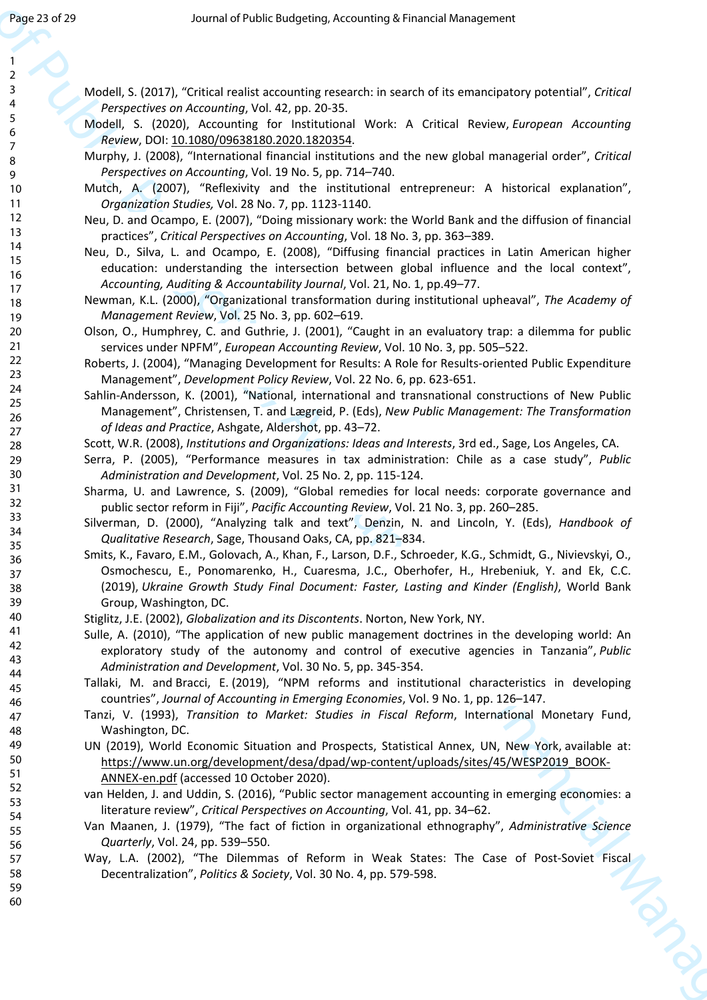- Modell, S. (2017), "Critical realist accounting research: in search of its emancipatory potential", *Critical Perspectives on Accounting*, Vol. 42, pp. 20-35.
- Modell, S. (2020), Accounting for Institutional Work: A Critical Review, *European Accounting Review*, DOI: 10.1080/09638180.2020.1820354.
- Murphy, J. (2008), "International financial institutions and the new global managerial order", *Critical Perspectives on Accounting*, Vol. 19 No. 5, pp. 714–740.
- Mutch, A. (2007), "Reflexivity and the institutional entrepreneur: A historical explanation", *Organization Studies,* Vol. 28 No. 7, pp. 1123-1140.
- Neu, D. and Ocampo, E. (2007), "Doing missionary work: the World Bank and the diffusion of financial practices", *Critical Perspectives on Accounting*, Vol. 18 No. 3, pp. 363–389.
- Neu, D., Silva, L. and Ocampo, E. (2008), "Diffusing financial practices in Latin American higher education: understanding the intersection between global influence and the local context", *Accounting, Auditing & Accountability Journal*, Vol. 21, No. 1, pp.49–77.
- Newman, K.L. (2000), "Organizational transformation during institutional upheaval", *The Academy of Management Review*, Vol. 25 No. 3, pp. 602–619.
- Olson, O., Humphrey, C. and Guthrie, J. (2001), "Caught in an evaluatory trap: a dilemma for public services under NPFM", *European Accounting Review*, Vol. 10 No. 3, pp. 505–522.
- Roberts, J. (2004), "Managing Development for Results: A Role for Results-oriented Public Expenditure Management", *Development Policy Review*, Vol. 22 No. 6, pp. 623-651.
- Sahlin-Andersson, K. (2001), "National, international and transnational constructions of New Public Management", Christensen, T. and Lægreid, P. (Eds), *New Public Management: The Transformation of Ideas and Practice*, Ashgate, Aldershot, pp. 43–72.
- Scott, W.R. (2008), *Institutions and Organizations: Ideas and Interests*, 3rd ed., Sage, Los Angeles, CA.
- Serra, P. (2005), "Performance measures in tax administration: Chile as a case study", *Public Administration and Development*, Vol. 25 No. 2, pp. 115-124.
- Sharma, U. and Lawrence, S. (2009), "Global remedies for local needs: corporate governance and public sector reform in Fiji", *Pacific Accounting Review*, Vol. 21 No. 3, pp. 260–285.
- Silverman, D. (2000), "Analyzing talk and text", Denzin, N. and Lincoln, Y. (Eds), *Handbook of Qualitative Research*, Sage, Thousand Oaks, CA, pp. 821–834.
- They are  $3\times 2^{10}$ <br>  $\frac{1}{2}$ <br>  $\frac{1}{2}$ <br>  $\frac{1}{2}$ <br>  $\frac{1}{2}$ <br>  $\frac{1}{2}$ <br>  $\frac{1}{2}$ <br>  $\frac{1}{2}$ <br>  $\frac{1}{2}$ <br>  $\frac{1}{2}$ <br>  $\frac{1}{2}$ <br>  $\frac{1}{2}$ <br>  $\frac{1}{2}$ <br>  $\frac{1}{2}$ <br>  $\frac{1}{2}$ <br>  $\frac{1}{2}$ <br>  $\frac{1}{2}$ <br>  $\frac{1}{2}$ <br>  $\frac{1}{2}$ <br> Smits, K., Favaro, E.M., Golovach, A., Khan, F., Larson, D.F., Schroeder, K.G., Schmidt, G., Nivievskyi, O., Osmochescu, E., Ponomarenko, H., Cuaresma, J.C., Oberhofer, H., Hrebeniuk, Y. and Ek, C.C. (2019), *Ukraine Growth Study Final Document: Faster, Lasting and Kinder (English)*, World Bank Group, Washington, DC.
	- Stiglitz, J.E. (2002), *Globalization and its Discontents*. Norton, New York, NY.
	- Sulle, A. (2010), "The application of new public management doctrines in the developing world: An exploratory study of the autonomy and control of executive agencies in Tanzania", *Public Administration and Development*, Vol. 30 No. 5, pp. 345-354.
	- Tallaki, M. and Bracci, E. (2019), "NPM reforms and institutional characteristics in developing countries", *Journal of Accounting in Emerging Economies*, Vol. 9 No. 1, pp. 126–147.
	- Tanzi, V. (1993), *Transition to Market: Studies in Fiscal Reform*, International Monetary Fund, Washington, DC.
	- UN (2019), World Economic Situation and Prospects, Statistical Annex, UN, New York, available at: https://www.un.org/development/desa/dpad/wp-content/uploads/sites/45/WESP2019\_BOOK-ANNEX-en.pdf (accessed 10 October 2020).
	- van Helden, J. and Uddin, S. (2016), "Public sector management accounting in emerging economies: a literature review", *Critical Perspectives on Accounting*, Vol. 41, pp. 34–62.
	- Van Maanen, J. (1979), "The fact of fiction in organizational ethnography", *Administrative Science Quarterly*, Vol. 24, pp. 539–550.
	- Way, L.A. (2002), "The Dilemmas of Reform in Weak States: The Case of Post-Soviet Fiscal Decentralization", *Politics & Society*, Vol. 30 No. 4, pp. 579-598.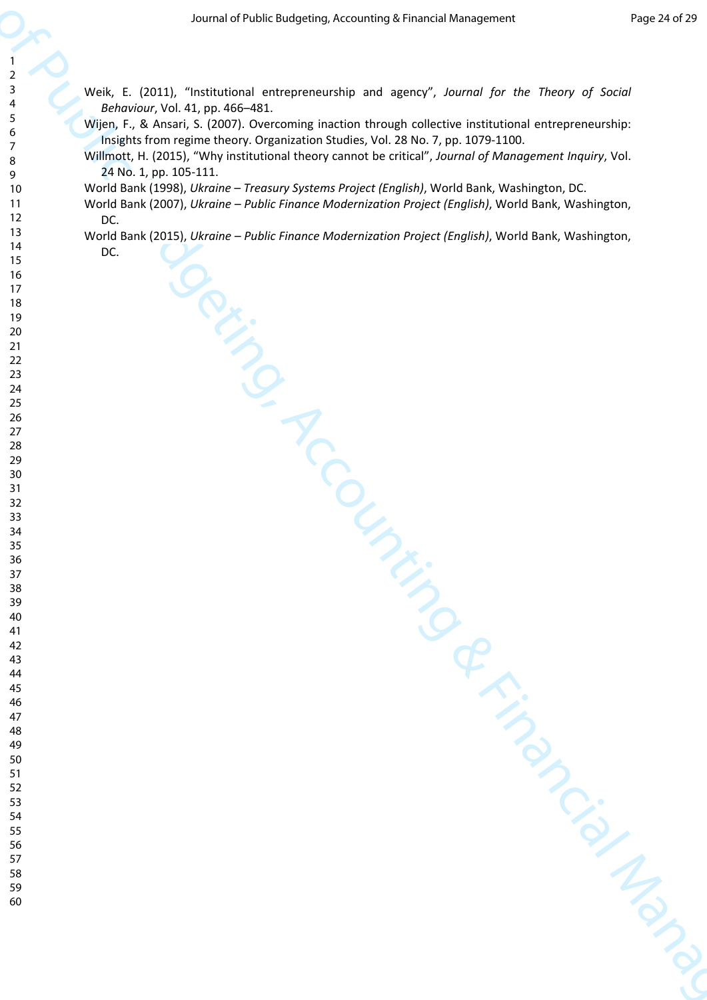Weik, E. (2011), "Institutional entrepreneurship and agency", *Journal for the Theory of Social Behaviour*, Vol. 41, pp. 466–481.

Wijen, F., & Ansari, S. (2007). Overcoming inaction through collective institutional entrepreneurship: Insights from regime theory. Organization Studies, Vol. 28 No. 7, pp. 1079-1100.

Willmott, H. (2015), "Why institutional theory cannot be critical", *Journal of Management Inquiry*, Vol. 24 No. 1, pp. 105-111.

World Bank (1998), *Ukraine – Treasury Systems Project (English)*, World Bank, Washington, DC.

 $\begin{array}{|c|c|}\n\hline\n\end{array}$ <br>  $\begin{array}{|c|c|}\n\hline\n\end{array}$ <br>  $\begin{array}{|c|c|}\n\hline\n\end{array}$ <br>  $\begin{array}{|c|c|}\n\hline\n\end{array}$ <br>  $\begin{array}{|c|c|}\n\hline\n\end{array}$ <br>  $\begin{array}{|c|c|}\n\hline\n\end{array}$ <br>  $\begin{array}{|c|c|}\n\hline\n\end{array}$ <br>  $\begin{array}{|c|c|}\n\hline\n\end{array}$ <br>  $\begin{array}{|c|c|}\n\hline\n\end{array$ World Bank (2007), *Ukraine – Public Finance Modernization Project (English)*, World Bank, Washington, DC.

World Bank (2015), *Ukraine – Public Finance Modernization Project (English)*, World Bank, Washington, DC.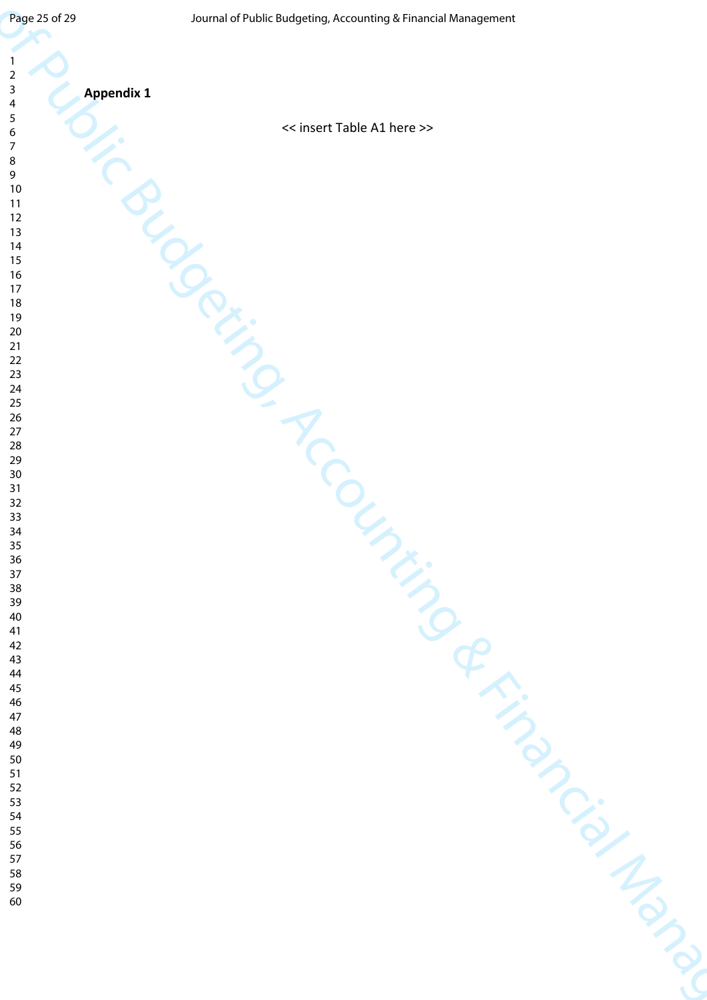| Page 25 of 29<br>$\overline{1}$<br>$\overline{2}$                                                                                                                                                                   | Journal of Public Budgeting, Accounting & Financial Management |
|---------------------------------------------------------------------------------------------------------------------------------------------------------------------------------------------------------------------|----------------------------------------------------------------|
| $\overline{\mathbf{3}}$<br><b>Appendix 1</b><br>$\overline{a}$<br>$\sqrt{5}$<br>6<br>$\overline{7}$<br>$\bf 8$<br>$\mathsf 9$<br>10<br>11<br>12<br>13<br>14<br>15<br>16<br>17<br>18<br>19<br>20<br>21<br>$22$<br>23 | << insert Table A1 here >><br>PRICE                            |
| 24 25 26 27 28 30 31 32 33 34 35 36 37 38 39 40 41 42 43 44 45 46 47 48 49 50 51 52 53 54 55 56 57 80 90                                                                                                            | Oler<br>r.                                                     |
|                                                                                                                                                                                                                     | $\hat{\mathcal{Q}}$                                            |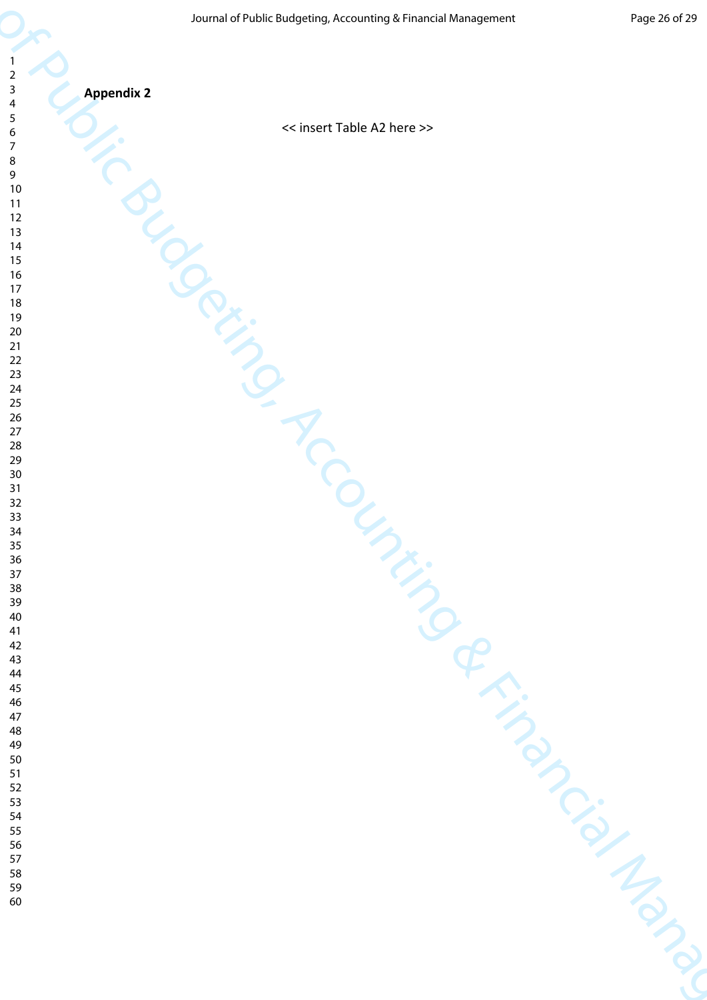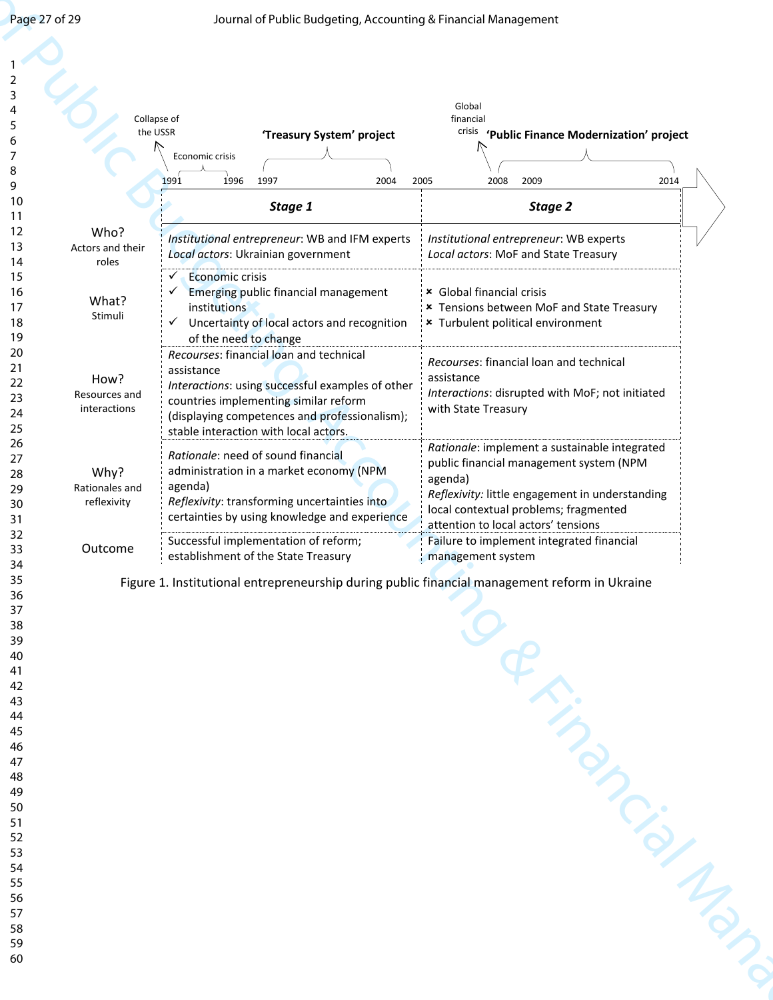| the USSR<br>crisis<br>'Treasury System' project<br>'Public Finance Modernization' project<br>Economic crisis<br>2009<br>1996<br>1997<br>2004<br>2005<br>2008<br>2014<br>1991<br>Stage 1<br>Stage 2<br>Who?<br>Institutional entrepreneur: WB and IFM experts<br>Institutional entrepreneur: WB experts<br>Local actors: Ukrainian government<br>Local actors: MoF and State Treasury<br>roles<br>Economic crisis<br>× Global financial crisis<br>Emerging public financial management<br>What?<br>institutions<br>* Tensions between MoF and State Treasury<br>Stimuli<br>✓<br>Uncertainty of local actors and recognition<br>* Turbulent political environment<br>of the need to change<br>Recourses: financial loan and technical<br>Recourses: financial loan and technical<br>assistance<br>assistance<br>How?<br>Interactions: using successful examples of other<br>Interactions: disrupted with MoF; not initiated<br>countries implementing similar reform<br>with State Treasury<br>interactions<br>(displaying competences and professionalism);<br>stable interaction with local actors.<br>Rationale: implement a sustainable integrated<br>Rationale: need of sound financial<br>public financial management system (NPM<br>administration in a market economy (NPM<br>Why?<br>agenda)<br>agenda)<br>Rationales and<br>Reflexivity: transforming uncertainties into<br>reflexivity<br>local contextual problems; fragmented<br>certainties by using knowledge and experience<br>attention to local actors' tensions<br>Successful implementation of reform;<br>Failure to implement integrated financial<br>Outcome<br>establishment of the State Treasury<br>management system<br>Figure 1. Institutional entrepreneurship during public financial management reform in Ukraine<br>Seringness Map |                  | Collapse of | Global<br>financial                             |
|-----------------------------------------------------------------------------------------------------------------------------------------------------------------------------------------------------------------------------------------------------------------------------------------------------------------------------------------------------------------------------------------------------------------------------------------------------------------------------------------------------------------------------------------------------------------------------------------------------------------------------------------------------------------------------------------------------------------------------------------------------------------------------------------------------------------------------------------------------------------------------------------------------------------------------------------------------------------------------------------------------------------------------------------------------------------------------------------------------------------------------------------------------------------------------------------------------------------------------------------------------------------------------------------------------------------------------------------------------------------------------------------------------------------------------------------------------------------------------------------------------------------------------------------------------------------------------------------------------------------------------------------------------------------------------------------------------------------------------------------------------------------------------------------------------------------|------------------|-------------|-------------------------------------------------|
|                                                                                                                                                                                                                                                                                                                                                                                                                                                                                                                                                                                                                                                                                                                                                                                                                                                                                                                                                                                                                                                                                                                                                                                                                                                                                                                                                                                                                                                                                                                                                                                                                                                                                                                                                                                                                 |                  |             |                                                 |
|                                                                                                                                                                                                                                                                                                                                                                                                                                                                                                                                                                                                                                                                                                                                                                                                                                                                                                                                                                                                                                                                                                                                                                                                                                                                                                                                                                                                                                                                                                                                                                                                                                                                                                                                                                                                                 |                  |             |                                                 |
|                                                                                                                                                                                                                                                                                                                                                                                                                                                                                                                                                                                                                                                                                                                                                                                                                                                                                                                                                                                                                                                                                                                                                                                                                                                                                                                                                                                                                                                                                                                                                                                                                                                                                                                                                                                                                 |                  |             |                                                 |
|                                                                                                                                                                                                                                                                                                                                                                                                                                                                                                                                                                                                                                                                                                                                                                                                                                                                                                                                                                                                                                                                                                                                                                                                                                                                                                                                                                                                                                                                                                                                                                                                                                                                                                                                                                                                                 |                  |             |                                                 |
|                                                                                                                                                                                                                                                                                                                                                                                                                                                                                                                                                                                                                                                                                                                                                                                                                                                                                                                                                                                                                                                                                                                                                                                                                                                                                                                                                                                                                                                                                                                                                                                                                                                                                                                                                                                                                 | Actors and their |             |                                                 |
|                                                                                                                                                                                                                                                                                                                                                                                                                                                                                                                                                                                                                                                                                                                                                                                                                                                                                                                                                                                                                                                                                                                                                                                                                                                                                                                                                                                                                                                                                                                                                                                                                                                                                                                                                                                                                 |                  |             |                                                 |
|                                                                                                                                                                                                                                                                                                                                                                                                                                                                                                                                                                                                                                                                                                                                                                                                                                                                                                                                                                                                                                                                                                                                                                                                                                                                                                                                                                                                                                                                                                                                                                                                                                                                                                                                                                                                                 |                  |             |                                                 |
|                                                                                                                                                                                                                                                                                                                                                                                                                                                                                                                                                                                                                                                                                                                                                                                                                                                                                                                                                                                                                                                                                                                                                                                                                                                                                                                                                                                                                                                                                                                                                                                                                                                                                                                                                                                                                 |                  |             |                                                 |
|                                                                                                                                                                                                                                                                                                                                                                                                                                                                                                                                                                                                                                                                                                                                                                                                                                                                                                                                                                                                                                                                                                                                                                                                                                                                                                                                                                                                                                                                                                                                                                                                                                                                                                                                                                                                                 |                  |             |                                                 |
|                                                                                                                                                                                                                                                                                                                                                                                                                                                                                                                                                                                                                                                                                                                                                                                                                                                                                                                                                                                                                                                                                                                                                                                                                                                                                                                                                                                                                                                                                                                                                                                                                                                                                                                                                                                                                 |                  |             |                                                 |
|                                                                                                                                                                                                                                                                                                                                                                                                                                                                                                                                                                                                                                                                                                                                                                                                                                                                                                                                                                                                                                                                                                                                                                                                                                                                                                                                                                                                                                                                                                                                                                                                                                                                                                                                                                                                                 | Resources and    |             |                                                 |
|                                                                                                                                                                                                                                                                                                                                                                                                                                                                                                                                                                                                                                                                                                                                                                                                                                                                                                                                                                                                                                                                                                                                                                                                                                                                                                                                                                                                                                                                                                                                                                                                                                                                                                                                                                                                                 |                  |             |                                                 |
|                                                                                                                                                                                                                                                                                                                                                                                                                                                                                                                                                                                                                                                                                                                                                                                                                                                                                                                                                                                                                                                                                                                                                                                                                                                                                                                                                                                                                                                                                                                                                                                                                                                                                                                                                                                                                 |                  |             |                                                 |
|                                                                                                                                                                                                                                                                                                                                                                                                                                                                                                                                                                                                                                                                                                                                                                                                                                                                                                                                                                                                                                                                                                                                                                                                                                                                                                                                                                                                                                                                                                                                                                                                                                                                                                                                                                                                                 |                  |             |                                                 |
|                                                                                                                                                                                                                                                                                                                                                                                                                                                                                                                                                                                                                                                                                                                                                                                                                                                                                                                                                                                                                                                                                                                                                                                                                                                                                                                                                                                                                                                                                                                                                                                                                                                                                                                                                                                                                 |                  |             | Reflexivity: little engagement in understanding |
|                                                                                                                                                                                                                                                                                                                                                                                                                                                                                                                                                                                                                                                                                                                                                                                                                                                                                                                                                                                                                                                                                                                                                                                                                                                                                                                                                                                                                                                                                                                                                                                                                                                                                                                                                                                                                 |                  |             |                                                 |
|                                                                                                                                                                                                                                                                                                                                                                                                                                                                                                                                                                                                                                                                                                                                                                                                                                                                                                                                                                                                                                                                                                                                                                                                                                                                                                                                                                                                                                                                                                                                                                                                                                                                                                                                                                                                                 |                  |             |                                                 |
|                                                                                                                                                                                                                                                                                                                                                                                                                                                                                                                                                                                                                                                                                                                                                                                                                                                                                                                                                                                                                                                                                                                                                                                                                                                                                                                                                                                                                                                                                                                                                                                                                                                                                                                                                                                                                 |                  |             |                                                 |
|                                                                                                                                                                                                                                                                                                                                                                                                                                                                                                                                                                                                                                                                                                                                                                                                                                                                                                                                                                                                                                                                                                                                                                                                                                                                                                                                                                                                                                                                                                                                                                                                                                                                                                                                                                                                                 |                  |             |                                                 |
|                                                                                                                                                                                                                                                                                                                                                                                                                                                                                                                                                                                                                                                                                                                                                                                                                                                                                                                                                                                                                                                                                                                                                                                                                                                                                                                                                                                                                                                                                                                                                                                                                                                                                                                                                                                                                 |                  |             |                                                 |
|                                                                                                                                                                                                                                                                                                                                                                                                                                                                                                                                                                                                                                                                                                                                                                                                                                                                                                                                                                                                                                                                                                                                                                                                                                                                                                                                                                                                                                                                                                                                                                                                                                                                                                                                                                                                                 |                  |             |                                                 |
|                                                                                                                                                                                                                                                                                                                                                                                                                                                                                                                                                                                                                                                                                                                                                                                                                                                                                                                                                                                                                                                                                                                                                                                                                                                                                                                                                                                                                                                                                                                                                                                                                                                                                                                                                                                                                 |                  |             |                                                 |
|                                                                                                                                                                                                                                                                                                                                                                                                                                                                                                                                                                                                                                                                                                                                                                                                                                                                                                                                                                                                                                                                                                                                                                                                                                                                                                                                                                                                                                                                                                                                                                                                                                                                                                                                                                                                                 |                  |             |                                                 |
|                                                                                                                                                                                                                                                                                                                                                                                                                                                                                                                                                                                                                                                                                                                                                                                                                                                                                                                                                                                                                                                                                                                                                                                                                                                                                                                                                                                                                                                                                                                                                                                                                                                                                                                                                                                                                 |                  |             |                                                 |
|                                                                                                                                                                                                                                                                                                                                                                                                                                                                                                                                                                                                                                                                                                                                                                                                                                                                                                                                                                                                                                                                                                                                                                                                                                                                                                                                                                                                                                                                                                                                                                                                                                                                                                                                                                                                                 |                  |             |                                                 |
|                                                                                                                                                                                                                                                                                                                                                                                                                                                                                                                                                                                                                                                                                                                                                                                                                                                                                                                                                                                                                                                                                                                                                                                                                                                                                                                                                                                                                                                                                                                                                                                                                                                                                                                                                                                                                 |                  |             |                                                 |
|                                                                                                                                                                                                                                                                                                                                                                                                                                                                                                                                                                                                                                                                                                                                                                                                                                                                                                                                                                                                                                                                                                                                                                                                                                                                                                                                                                                                                                                                                                                                                                                                                                                                                                                                                                                                                 |                  |             |                                                 |
|                                                                                                                                                                                                                                                                                                                                                                                                                                                                                                                                                                                                                                                                                                                                                                                                                                                                                                                                                                                                                                                                                                                                                                                                                                                                                                                                                                                                                                                                                                                                                                                                                                                                                                                                                                                                                 |                  |             |                                                 |
|                                                                                                                                                                                                                                                                                                                                                                                                                                                                                                                                                                                                                                                                                                                                                                                                                                                                                                                                                                                                                                                                                                                                                                                                                                                                                                                                                                                                                                                                                                                                                                                                                                                                                                                                                                                                                 |                  |             |                                                 |
|                                                                                                                                                                                                                                                                                                                                                                                                                                                                                                                                                                                                                                                                                                                                                                                                                                                                                                                                                                                                                                                                                                                                                                                                                                                                                                                                                                                                                                                                                                                                                                                                                                                                                                                                                                                                                 |                  |             |                                                 |
|                                                                                                                                                                                                                                                                                                                                                                                                                                                                                                                                                                                                                                                                                                                                                                                                                                                                                                                                                                                                                                                                                                                                                                                                                                                                                                                                                                                                                                                                                                                                                                                                                                                                                                                                                                                                                 |                  |             |                                                 |
|                                                                                                                                                                                                                                                                                                                                                                                                                                                                                                                                                                                                                                                                                                                                                                                                                                                                                                                                                                                                                                                                                                                                                                                                                                                                                                                                                                                                                                                                                                                                                                                                                                                                                                                                                                                                                 |                  |             |                                                 |
|                                                                                                                                                                                                                                                                                                                                                                                                                                                                                                                                                                                                                                                                                                                                                                                                                                                                                                                                                                                                                                                                                                                                                                                                                                                                                                                                                                                                                                                                                                                                                                                                                                                                                                                                                                                                                 |                  |             |                                                 |
|                                                                                                                                                                                                                                                                                                                                                                                                                                                                                                                                                                                                                                                                                                                                                                                                                                                                                                                                                                                                                                                                                                                                                                                                                                                                                                                                                                                                                                                                                                                                                                                                                                                                                                                                                                                                                 |                  |             |                                                 |
|                                                                                                                                                                                                                                                                                                                                                                                                                                                                                                                                                                                                                                                                                                                                                                                                                                                                                                                                                                                                                                                                                                                                                                                                                                                                                                                                                                                                                                                                                                                                                                                                                                                                                                                                                                                                                 |                  |             |                                                 |

17 18 19  $2<sub>0</sub>$ 21  $2<sup>2</sup>$  $2<sup>3</sup>$  $2<sup>4</sup>$  $25$  $2<sub>6</sub>$  $2^{\circ}$  $28$  $2<sup>9</sup>$  $3<sub>0</sub>$ 31  $3<sup>2</sup>$  $3<sup>2</sup>$ 34 35 36 37 38 39 40 41 42 43 44 45 46 47 48 49 50 51 52 53 54 55 56 57 58 59 60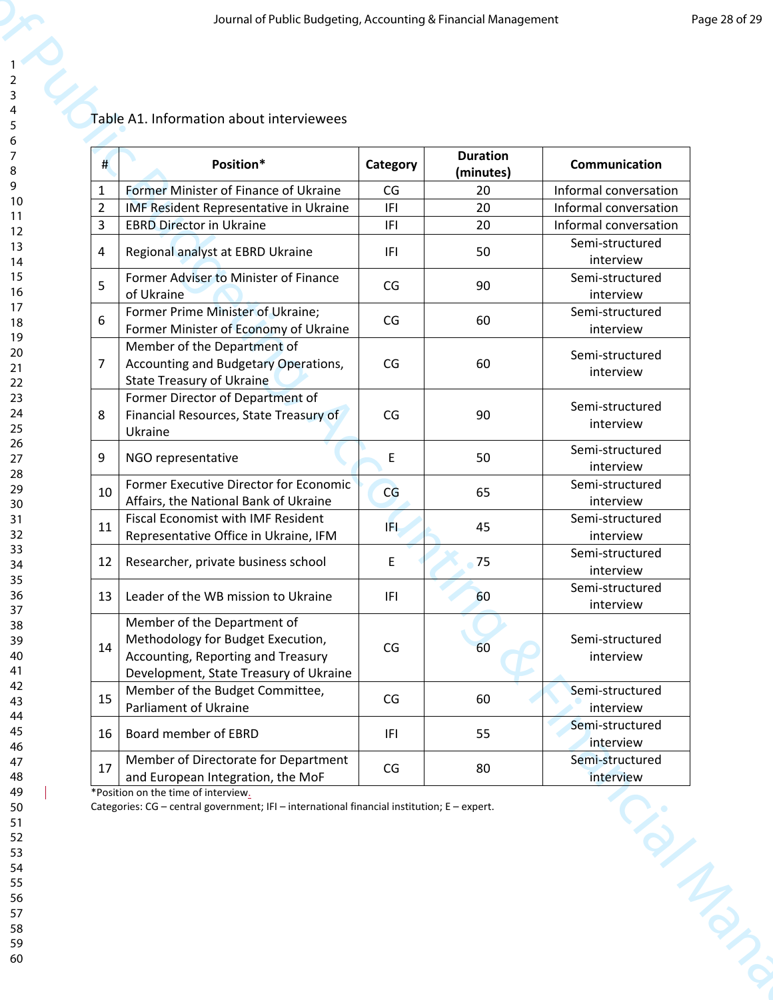# Table A1. Information about interviewees

|                | Position*                                                                | Category             | <b>Duration</b> | Communication                |
|----------------|--------------------------------------------------------------------------|----------------------|-----------------|------------------------------|
| 1              | Former Minister of Finance of Ukraine                                    | CG                   | (minutes)<br>20 | Informal conversation        |
| $\overline{2}$ | IMF Resident Representative in Ukraine                                   | IFI                  | 20              | Informal conversation        |
| 3              | <b>EBRD Director in Ukraine</b>                                          | IFI                  | 20              | Informal conversation        |
|                |                                                                          |                      |                 | Semi-structured              |
| $\overline{4}$ | Regional analyst at EBRD Ukraine                                         | IFI                  | 50              | interview                    |
| 5              | Former Adviser to Minister of Finance                                    | CG                   | 90              | Semi-structured              |
|                | of Ukraine                                                               |                      |                 | interview                    |
| 6              | Former Prime Minister of Ukraine;                                        | CG                   | 60              | Semi-structured              |
|                | Former Minister of Economy of Ukraine<br>Member of the Department of     |                      |                 | interview                    |
| 7              | Accounting and Budgetary Operations,<br><b>State Treasury of Ukraine</b> | CG                   | 60              | Semi-structured<br>interview |
|                | Former Director of Department of                                         |                      |                 | Semi-structured              |
| 8              | Financial Resources, State Treasury of                                   | CG                   | 90              | interview                    |
|                | Ukraine                                                                  |                      |                 | Semi-structured              |
| 9              | NGO representative                                                       | E                    | 50              | interview                    |
|                | Former Executive Director for Economic                                   |                      |                 | Semi-structured              |
| 10             | Affairs, the National Bank of Ukraine                                    | CG                   | 65              | interview                    |
| 11             | Fiscal Economist with IMF Resident                                       | IFI.                 | 45              | Semi-structured              |
|                | Representative Office in Ukraine, IFM                                    |                      |                 | interview                    |
| 12             | Researcher, private business school                                      | E                    | 75              | Semi-structured              |
|                |                                                                          |                      |                 | interview                    |
| 13             | Leader of the WB mission to Ukraine                                      | IFI                  | 60              | Semi-structured<br>interview |
|                | Member of the Department of                                              |                      |                 |                              |
|                | Methodology for Budget Execution,                                        |                      |                 | Semi-structured              |
| 14             | Accounting, Reporting and Treasury                                       | $\mathsf{CG}\xspace$ | 60              | interview                    |
|                | Development, State Treasury of Ukraine                                   |                      |                 |                              |
| 15             | Member of the Budget Committee,                                          | CG                   | 60              | Semi-structured              |
|                | Parliament of Ukraine                                                    |                      |                 | interview                    |
| 16             | Board member of EBRD                                                     | IFI                  | 55              | Semi-structured<br>interview |
|                | Member of Directorate for Department                                     |                      |                 | Semi-structured              |
| 17             | and European Integration, the MoF                                        | $\mathsf{CG}\xspace$ | 80              | interview                    |